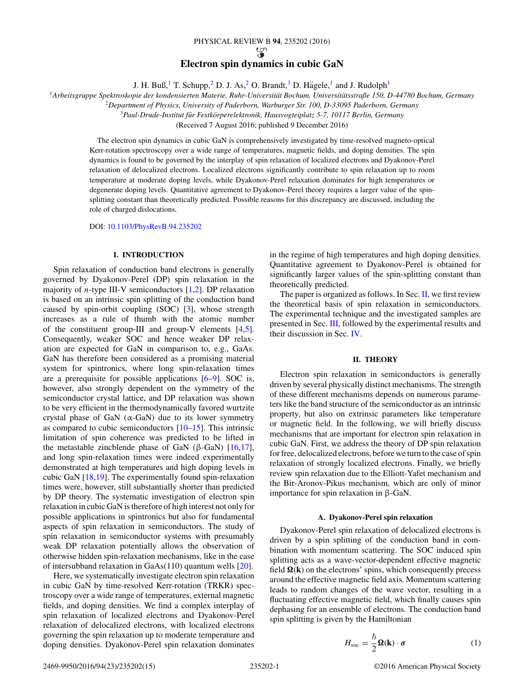# PHYSICAL REVIEW B **94**, 235202 (2016) **Electron spin dynamics in cubic GaN**

J. H. Buß,<sup>1</sup> T. Schupp,<sup>2</sup> D. J. As,<sup>2</sup> O. Brandt,<sup>3</sup> D. Hägele,<sup>1</sup> and J. Rudolph<sup>1</sup>

<span id="page-0-0"></span><sup>1</sup>*Arbeitsgruppe Spektroskopie der kondensierten Materie, Ruhr-Universitat Bochum, Universit ¨ atsstraße 150, D-44780 Bochum, Germany ¨*

<sup>2</sup>*Department of Physics, University of Paderborn, Warburger Str. 100, D-33095 Paderborn, Germany*

<sup>3</sup> Paul-Drude-Institut für Festkörperelektronik, Hausvogteiplatz 5-7, 10117 Berlin, Germany

(Received 7 August 2016; published 9 December 2016)

The electron spin dynamics in cubic GaN is comprehensively investigated by time-resolved magneto-optical Kerr-rotation spectroscopy over a wide range of temperatures, magnetic fields, and doping densities. The spin dynamics is found to be governed by the interplay of spin relaxation of localized electrons and Dyakonov-Perel relaxation of delocalized electrons. Localized electrons significantly contribute to spin relaxation up to room temperature at moderate doping levels, while Dyakonov-Perel relaxation dominates for high temperatures or degenerate doping levels. Quantitative agreement to Dyakonov-Perel theory requires a larger value of the spinsplitting constant than theoretically predicted. Possible reasons for this discrepancy are discussed, including the role of charged dislocations.

DOI: [10.1103/PhysRevB.94.235202](https://doi.org/10.1103/PhysRevB.94.235202)

# **I. INTRODUCTION**

Spin relaxation of conduction band electrons is generally governed by Dyakonov-Perel (DP) spin relaxation in the majority of *n*-type III-V semiconductors [\[1,2\]](#page-13-0). DP relaxation is based on an intrinsic spin splitting of the conduction band caused by spin-orbit coupling (SOC) [\[3\]](#page-13-0), whose strength increases as a rule of thumb with the atomic number of the constituent group-III and group-V elements [\[4,5\]](#page-13-0). Consequently, weaker SOC and hence weaker DP relaxation are expected for GaN in comparison to, e.g., GaAs. GaN has therefore been considered as a promising material system for spintronics, where long spin-relaxation times are a prerequisite for possible applications [\[6–9\]](#page-13-0). SOC is, however, also strongly dependent on the symmetry of the semiconductor crystal lattice, and DP relaxation was shown to be very efficient in the thermodynamically favored wurtzite crystal phase of GaN  $(\alpha$ -GaN) due to its lower symmetry as compared to cubic semiconductors  $[10-15]$ . This intrinsic limitation of spin coherence was predicted to be lifted in the metastable zincblende phase of GaN (β-GaN)  $[16,17]$ , and long spin-relaxation times were indeed experimentally demonstrated at high temperatures and high doping levels in cubic GaN [\[18,19\]](#page-13-0). The experimentally found spin-relaxation times were, however, still substantially shorter than predicted by DP theory. The systematic investigation of electron spin relaxation in cubic GaN is therefore of high interest not only for possible applications in spintronics but also for fundamental aspects of spin relaxation in semiconductors. The study of spin relaxation in semiconductor systems with presumably weak DP relaxation potentially allows the observation of otherwise hidden spin-relaxation mechanisms, like in the case of intersubband relaxation in GaAs(110) quantum wells [\[20\]](#page-13-0).

Here, we systematically investigate electron spin relaxation in cubic GaN by time-resolved Kerr-rotation (TRKR) spectroscopy over a wide range of temperatures, external magnetic fields, and doping densities. We find a complex interplay of spin relaxation of localized electrons and Dyakonov-Perel relaxation of delocalized electrons, with localized electrons governing the spin relaxation up to moderate temperature and doping densities. Dyakonov-Perel spin relaxation dominates in the regime of high temperatures and high doping densities. Quantitative agreement to Dyakonov-Perel is obtained for significantly larger values of the spin-splitting constant than theoretically predicted.

The paper is organized as follows. In Sec.  $II$ , we first review the theoretical basis of spin relaxation in semiconductors. The experimental technique and the investigated samples are presented in Sec. [III,](#page-3-0) followed by the experimental results and their discussion in Sec. [IV.](#page-4-0)

### **II. THEORY**

Electron spin relaxation in semiconductors is generally driven by several physically distinct mechanisms. The strength of these different mechanisms depends on numerous parameters like the band structure of the semiconductor as an intrinsic property, but also on extrinsic parameters like temperature or magnetic field. In the following, we will briefly discuss mechanisms that are important for electron spin relaxation in cubic GaN. First, we address the theory of DP spin relaxation for free, delocalized electrons, before we turn to the case of spin relaxation of strongly localized electrons. Finally, we briefly review spin relaxation due to the Elliott-Yafet mechanism and the Bir-Aronov-Pikus mechanism, which are only of minor importance for spin relaxation in β-GaN.

## **A. Dyakonov-Perel spin relaxation**

Dyakonov-Perel spin relaxation of delocalized electrons is driven by a spin splitting of the conduction band in combination with momentum scattering. The SOC induced spin splitting acts as a wave-vector-dependent effective magnetic field  $\Omega(k)$  on the electrons' spins, which consequently precess around the effective magnetic field axis. Momentum scattering leads to random changes of the wave vector, resulting in a fluctuating effective magnetic field, which finally causes spin dephasing for an ensemble of electrons. The conduction band spin splitting is given by the Hamiltonian

$$
H_{\text{soc}} = \frac{\hbar}{2} \mathbf{\Omega}(\mathbf{k}) \cdot \boldsymbol{\sigma}
$$
 (1)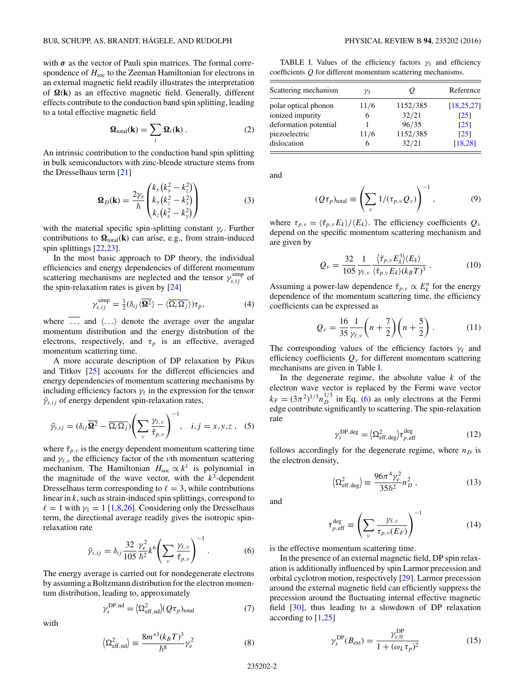<span id="page-1-0"></span>with  $\sigma$  as the vector of Pauli spin matrices. The formal correspondence of  $H<sub>soc</sub>$  to the Zeeman Hamiltonian for electrons in an external magnetic field readily illustrates the interpretation of  $\Omega(k)$  as an effective magnetic field. Generally, different effects contribute to the conduction band spin splitting, leading to a total effective magnetic field

$$
\mathbf{\Omega}_{\text{total}}(\mathbf{k}) = \sum_{i} \mathbf{\Omega}_{i}(\mathbf{k}) . \qquad (2)
$$

An intrinsic contribution to the conduction band spin splitting in bulk semiconductors with zinc-blende structure stems from the Dresselhaus term [\[21\]](#page-13-0)

$$
\mathbf{\Omega}_D(\mathbf{k}) = \frac{2\gamma_e}{\hbar} \begin{pmatrix} k_x (k_y^2 - k_z^2) \\ k_y (k_z^2 - k_x^2) \\ k_z (k_x^2 - k_y^2) \end{pmatrix}
$$
(3)

with the material specific spin-splitting constant *γe*. Further contributions to  $\Omega_{\text{total}}(\mathbf{k})$  can arise, e.g., from strain-induced spin splittings [\[22,23\]](#page-13-0).

In the most basic approach to DP theory, the individual efficiencies and energy dependencies of different momentum scattering mechanisms are neglected and the tensor  $\gamma_{s,ij}^{\text{simp}}$  of the spin-relaxation rates is given by [\[24\]](#page-13-0)

$$
\gamma_{s,ij}^{\text{simp}} = \frac{1}{2} (\delta_{ij} \langle \overline{\mathbf{\Omega}^2} \rangle - \langle \overline{\Omega_i \Omega_j} \rangle) \tau_p, \tag{4}
$$

where  $\overline{\ldots}$  and  $\langle \ldots \rangle$  denote the average over the angular momentum distribution and the energy distribution of the electrons, respectively, and  $\tau_p$  is an effective, averaged momentum scattering time.

A more accurate description of DP relaxation by Pikus and Titkov [\[25\]](#page-13-0) accounts for the different efficiencies and energy dependencies of momentum scattering mechanisms by including efficiency factors  $\gamma_{\ell}$  in the expression for the tensor *γ*˜*s,ij* of energy dependent spin-relaxation rates,

$$
\tilde{\gamma}_{s,ij} = (\delta_{ij}\overline{\mathbf{\Omega}^2} - \overline{\Omega_i \Omega_j}) \left(\sum_{\nu} \frac{\gamma_{\ell,\nu}}{\tilde{\tau}_{p,\nu}}\right)^{-1}, \quad i,j = x, y, z \,, \tag{5}
$$

where  $\tilde{\tau}_{p,\nu}$  is the energy dependent momentum scattering time and  $\gamma_{\ell,\nu}$  the efficiency factor of the *ν*th momentum scattering mechanism. The Hamiltonian  $H_{\text{soc}} \propto k^{\ell}$  is polynomial in the magnitude of the wave vector, with the  $k^3$ -dependent Dresselhaus term corresponding to  $\ell = 3$ , while contributions linear in *k*, such as strain-induced spin splittings, correspond to  $\ell = 1$  with  $\gamma_1 = 1$  [\[1,8,26\]](#page-13-0). Considering only the Dresselhaus term, the directional average readily gives the isotropic spinrelaxation rate

$$
\tilde{\gamma}_{s,ij} = \delta_{ij} \frac{32}{105} \frac{\gamma_e^2}{\hbar^2} k^6 \left( \sum_{\nu} \frac{\gamma_{\ell,\nu}}{\tilde{\tau}_{p,\nu}} \right)^{-1} . \tag{6}
$$

The energy average is carried out for nondegenerate electrons by assuming a Boltzmann distribution for the electron momentum distribution, leading to, approximately

$$
\gamma_s^{\text{DP},\text{nd}} = \langle \Omega_{\text{eff},\text{nd}}^2 \rangle (Q \tau_p)_{\text{total}} \tag{7}
$$

with

$$
\left\langle \Omega_{\text{eff},\text{nd}}^2 \right\rangle \equiv \frac{8m^{*3}(k_B T)^3}{\hbar^8} \gamma_e^2 \tag{8}
$$

TABLE I. Values of the efficiency factors  $\gamma_3$  and efficiency coefficients *Q* for different momentum scattering mechanisms.

| Scattering mechanism  | νz   | U        | Reference          |
|-----------------------|------|----------|--------------------|
| polar optical phonon  | 11/6 | 1152/385 | [18, 25, 27]       |
| ionized impurity      | 6    | 32/21    | $\lceil 25 \rceil$ |
| deformation potential |      | 96/35    | $\lceil 25 \rceil$ |
| piezoelectric         | 11/6 | 1152/385 | $\lceil 25 \rceil$ |
| dislocation           | 6    | 32/21    | [18.28]            |

and

$$
(Q\tau_p)_{\text{total}} \equiv \left(\sum_{\nu} 1/(\tau_{p,\nu} Q_{\nu})\right)^{-1},\tag{9}
$$

where  $\tau_{p,\nu} = \langle \tilde{\tau}_{p,\nu} E_k \rangle / \langle E_k \rangle$ . The efficiency coefficients  $Q_{\nu}$ depend on the specific momentum scattering mechanism and are given by

$$
Q_{\nu} = \frac{32}{105} \frac{1}{\gamma_{\ell,\nu}} \frac{\langle \tilde{\tau}_{p,\nu} E_k^3 \rangle \langle E_k \rangle}{\langle \tilde{\tau}_{p,\nu} E_k \rangle \langle k_B T \rangle^3} \,. \tag{10}
$$

Assuming a power-law dependence  $\tilde{\tau}_{p,\nu} \propto E_k^n$  for the energy dependence of the momentum scattering time, the efficiency coefficients can be expressed as

$$
Q_{\nu} = \frac{16}{35} \frac{1}{\gamma_{\ell,\nu}} \left( n + \frac{7}{2} \right) \left( n + \frac{5}{2} \right). \tag{11}
$$

The corresponding values of the efficiency factors  $\gamma_{\ell}$  and efficiency coefficients *Qν* for different momentum scattering mechanisms are given in Table I.

In the degenerate regime, the absolute value  $k$  of the electron wave vector is replaced by the Fermi wave vector  $k_F = (3\pi^2)^{1/3} n_D^{1/3}$  in Eq. (6) as only electrons at the Fermi edge contribute significantly to scattering. The spin-relaxation rate

$$
\gamma_s^{\text{DP},\text{deg}} = \langle \Omega_{\text{eff},\text{deg}}^2 \rangle \tau_{p,\text{eff}}^{\text{deg}} \tag{12}
$$

follows accordingly for the degenerate regime, where  $n_D$  is the electron density,

$$
\left\langle \Omega_{\text{eff,deg}}^2 \right\rangle \equiv \frac{96\pi^4 \gamma_e^2}{35\hbar^2} n_D^2 \,, \tag{13}
$$

and

$$
\mathcal{L}_{p,\text{eff}}^{\text{deg}} \equiv \left(\sum_{\nu} \frac{\gamma_{\ell,\nu}}{\tau_{p,\nu}(E_F)}\right)^{-1} \tag{14}
$$

is the effective momentum scattering time.

*τ* deg

In the presence of an external magnetic field, DP spin relaxation is additionally influenced by spin Larmor precession and orbital cyclotron motion, respectively [\[29\]](#page-13-0). Larmor precession around the external magnetic field can efficiently suppress the precession around the fluctuating internal effective magnetic field [\[30\]](#page-13-0), thus leading to a slowdown of DP relaxation according to [\[1,25\]](#page-13-0)

$$
\gamma_s^{\rm DP}(B_{\rm ext}) = \frac{\gamma_{s,0}^{\rm DP}}{1 + (\omega_L \tau_p)^2}
$$
(15)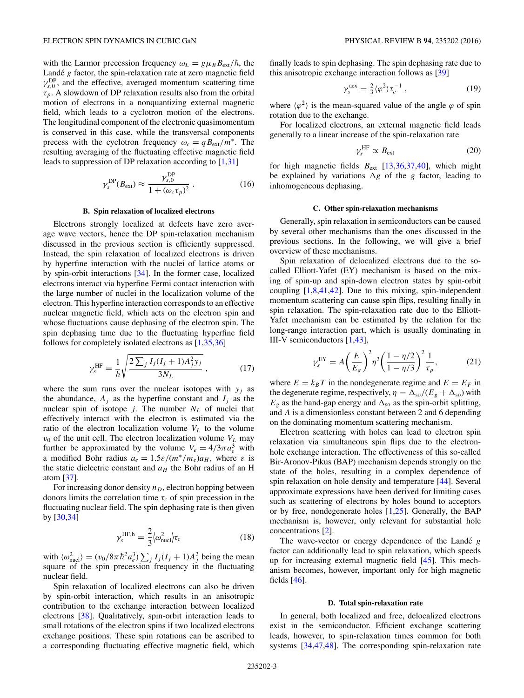<span id="page-2-0"></span>with the Larmor precession frequency  $\omega_L = g \mu_B B_{ext}/\hbar$ , the Landé *g* factor, the spin-relaxation rate at zero magnetic field  $\gamma_{s,0}^{\text{DP}}$ , and the effective, averaged momentum scattering time *τp*. A slowdown of DP relaxation results also from the orbital motion of electrons in a nonquantizing external magnetic field, which leads to a cyclotron motion of the electrons. The longitudinal component of the electronic quasimomentum is conserved in this case, while the transversal components precess with the cyclotron frequency  $\omega_c = q B_{\text{ext}}/m^*$ . The resulting averaging of the fluctuating effective magnetic field leads to suppression of DP relaxation according to [\[1,31\]](#page-13-0)

$$
\gamma_s^{\rm DP}(B_{\rm ext}) \approx \frac{\gamma_{s,0}^{\rm DP}}{1 + (\omega_c \tau_p)^2} \ . \tag{16}
$$

#### **B. Spin relaxation of localized electrons**

Electrons strongly localized at defects have zero average wave vectors, hence the DP spin-relaxation mechanism discussed in the previous section is efficiently suppressed. Instead, the spin relaxation of localized electrons is driven by hyperfine interaction with the nuclei of lattice atoms or by spin-orbit interactions [\[34\]](#page-13-0). In the former case, localized electrons interact via hyperfine Fermi contact interaction with the large number of nuclei in the localization volume of the electron. This hyperfine interaction corresponds to an effective nuclear magnetic field, which acts on the electron spin and whose fluctuations cause dephasing of the electron spin. The spin dephasing time due to the fluctuating hyperfine field follows for completely isolated electrons as [\[1,35,36\]](#page-13-0)

$$
\gamma_s^{\text{HF}} = \frac{1}{\hbar} \sqrt{\frac{2 \sum_j I_j (I_j + 1) A_j^2 y_j}{3 N_L}} , \qquad (17)
$$

where the sum runs over the nuclear isotopes with  $y_j$  as the abundance,  $A_i$  as the hyperfine constant and  $I_i$  as the nuclear spin of isotope  $j$ . The number  $N_L$  of nuclei that effectively interact with the electron is estimated via the ratio of the electron localization volume  $V_L$  to the volume  $v_0$  of the unit cell. The electron localization volume  $V_L$  may further be approximated by the volume  $V_e = 4/3\pi a_e^3$  with a modified Bohr radius  $a_e = 1.5\varepsilon/(m^*/m_e)a_H$ , where  $\varepsilon$  is the static dielectric constant and  $a_H$  the Bohr radius of an H atom [\[37\]](#page-13-0).

For increasing donor density  $n<sub>D</sub>$ , electron hopping between donors limits the correlation time  $\tau_c$  of spin precession in the fluctuating nuclear field. The spin dephasing rate is then given by [\[30,34\]](#page-13-0)

$$
\gamma_s^{\text{HF,h}} = \frac{2}{3} \langle \omega_{\text{nucl}}^2 \rangle \tau_c \tag{18}
$$

with  $\langle \omega_{\text{nucl}}^2 \rangle = (v_0/8\pi \hbar^2 a_e^3) \sum_j I_j (I_j + 1) A_j^2$  being the mean square of the spin precession frequency in the fluctuating nuclear field.

Spin relaxation of localized electrons can also be driven by spin-orbit interaction, which results in an anisotropic contribution to the exchange interaction between localized electrons [\[38\]](#page-13-0). Qualitatively, spin-orbit interaction leads to small rotations of the electron spins if two localized electrons exchange positions. These spin rotations can be ascribed to a corresponding fluctuating effective magnetic field, which finally leads to spin dephasing. The spin dephasing rate due to this anisotropic exchange interaction follows as [\[39\]](#page-13-0)

$$
\gamma_s^{\text{aex}} = \frac{2}{3} \langle \varphi^2 \rangle \tau_c^{-1} \,, \tag{19}
$$

where  $\langle \varphi^2 \rangle$  is the mean-squared value of the angle  $\varphi$  of spin rotation due to the exchange.

For localized electrons, an external magnetic field leads generally to a linear increase of the spin-relaxation rate

$$
\gamma_s^{\rm HF} \propto B_{\rm ext} \tag{20}
$$

for high magnetic fields  $B_{ext}$  [\[13,36,37,40\]](#page-13-0), which might be explained by variations  $\Delta g$  of the *g* factor, leading to inhomogeneous dephasing.

# **C. Other spin-relaxation mechanisms**

Generally, spin relaxation in semiconductors can be caused by several other mechanisms than the ones discussed in the previous sections. In the following, we will give a brief overview of these mechanisms.

Spin relaxation of delocalized electrons due to the socalled Elliott-Yafet (EY) mechanism is based on the mixing of spin-up and spin-down electron states by spin-orbit coupling  $[1,8,41,42]$ . Due to this mixing, spin-independent momentum scattering can cause spin flips, resulting finally in spin relaxation. The spin-relaxation rate due to the Elliott-Yafet mechanism can be estimated by the relation for the long-range interaction part, which is usually dominating in III-V semiconductors [\[1,43\]](#page-13-0),

$$
\gamma_s^{\rm EY} = A \left(\frac{E}{E_g}\right)^2 \eta^2 \left(\frac{1 - \eta/2}{1 - \eta/3}\right)^2 \frac{1}{\tau_p},\tag{21}
$$

where  $E = k_B T$  in the nondegenerate regime and  $E = E_F$  in the degenerate regime, respectively,  $\eta = \Delta_{\text{so}}/(E_g + \Delta_{\text{so}})$  with  $E_g$  as the band-gap energy and  $\Delta_{so}$  as the spin-orbit splitting, and *A* is a dimensionless constant between 2 and 6 depending on the dominating momentum scattering mechanism.

Electron scattering with holes can lead to electron spin relaxation via simultaneous spin flips due to the electronhole exchange interaction. The effectiveness of this so-called Bir-Aronov-Pikus (BAP) mechanism depends strongly on the state of the holes, resulting in a complex dependence of spin relaxation on hole density and temperature [\[44\]](#page-13-0). Several approximate expressions have been derived for limiting cases such as scattering of electrons by holes bound to acceptors or by free, nondegenerate holes [\[1,25\]](#page-13-0). Generally, the BAP mechanism is, however, only relevant for substantial hole concentrations [\[2\]](#page-13-0).

The wave-vector or energy dependence of the Landé *g* factor can additionally lead to spin relaxation, which speeds up for increasing external magnetic field [\[45\]](#page-13-0). This mechanism becomes, however, important only for high magnetic fields [\[46\]](#page-13-0).

#### **D. Total spin-relaxation rate**

In general, both localized and free, delocalized electrons exist in the semiconductor. Efficient exchange scattering leads, however, to spin-relaxation times common for both systems [\[34,47,48\]](#page-13-0). The corresponding spin-relaxation rate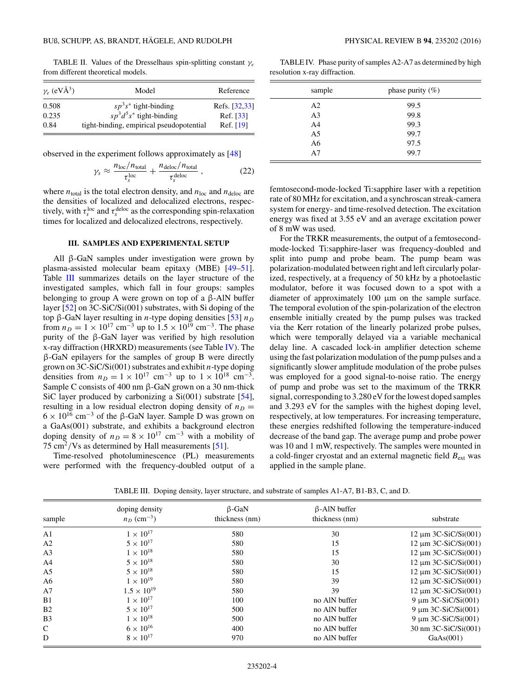<span id="page-3-0"></span>TABLE II. Values of the Dresselhaus spin-splitting constant *γe* from different theoretical models.

| $\gamma_e$ (eVÅ <sup>3</sup> ) | Model                                    | Reference     |
|--------------------------------|------------------------------------------|---------------|
| 0.508                          | $sp^3s^*$ tight-binding                  | Refs. [32,33] |
| 0.235                          | $sp^3d^5s^*$ tight-binding               | Ref. [33]     |
| 0.84                           | tight-binding, empirical pseudopotential | Ref. [19]     |

observed in the experiment follows approximately as [\[48\]](#page-13-0)

$$
\gamma_s \approx \frac{n_{\text{loc}}/n_{\text{total}}}{\tau_s^{\text{loc}}} + \frac{n_{\text{deloc}}/n_{\text{total}}}{\tau_s^{\text{deloc}}},
$$
 (22)

where  $n_{\text{total}}$  is the total electron density, and  $n_{\text{loc}}$  and  $n_{\text{deloc}}$  are the densities of localized and delocalized electrons, respectively, with  $\tau_s^{\text{loc}}$  and  $\tau_s^{\text{deloc}}$  as the corresponding spin-relaxation times for localized and delocalized electrons, respectively.

## **III. SAMPLES AND EXPERIMENTAL SETUP**

All β-GaN samples under investigation were grown by plasma-assisted molecular beam epitaxy (MBE) [\[49–51\]](#page-13-0). Table III summarizes details on the layer structure of the investigated samples, which fall in four groups: samples belonging to group A were grown on top of a β-AlN buffer layer [\[52\]](#page-13-0) on 3C-SiC/Si(001) substrates, with Si doping of the top β-GaN layer resulting in *n*-type doping densities [\[53\]](#page-13-0) *n<sub>D</sub>* from  $n_D = 1 \times 10^{17}$  cm<sup>-3</sup> up to  $1.5 \times 10^{19}$  cm<sup>-3</sup>. The phase purity of the β-GaN layer was verified by high resolution x-ray diffraction (HRXRD) measurements (see Table IV). The β-GaN epilayers for the samples of group B were directly grown on 3C-SiC/Si(001) substrates and exhibit *n*-type doping densities from  $n_D = 1 \times 10^{17}$  cm<sup>-3</sup> up to  $1 \times 10^{18}$  cm<sup>-3</sup>. Sample C consists of 400 nm β-GaN grown on a 30 nm-thick SiC layer produced by carbonizing a Si(001) substrate [\[54\]](#page-13-0), resulting in a low residual electron doping density of  $n_D =$  $6 \times 10^{16}$  cm<sup>-3</sup> of the β-GaN layer. Sample D was grown on a GaAs(001) substrate, and exhibits a background electron doping density of  $n_D = 8 \times 10^{17}$  cm<sup>-3</sup> with a mobility of 75 cm<sup>2</sup>*/*Vs as determined by Hall measurements [\[51\]](#page-13-0).

Time-resolved photoluminescence (PL) measurements were performed with the frequency-doubled output of a

TABLE IV. Phase purity of samples A2-A7 as determined by high resolution x-ray diffraction.

| sample         | phase purity $(\%)$ |  |
|----------------|---------------------|--|
| A2             | 99.5                |  |
| A <sub>3</sub> | 99.8                |  |
| A4             | 99.3                |  |
| A5             | 99.7                |  |
| A6             | 97.5                |  |
| A7             | 99.7                |  |

femtosecond-mode-locked Ti:sapphire laser with a repetition rate of 80 MHz for excitation, and a synchroscan streak-camera system for energy- and time-resolved detection. The excitation energy was fixed at 3.55 eV and an average excitation power of 8 mW was used.

For the TRKR measurements, the output of a femtosecondmode-locked Ti:sapphire-laser was frequency-doubled and split into pump and probe beam. The pump beam was polarization-modulated between right and left circularly polarized, respectively, at a frequency of 50 kHz by a photoelastic modulator, before it was focused down to a spot with a diameter of approximately 100 μm on the sample surface. The temporal evolution of the spin-polarization of the electron ensemble initially created by the pump pulses was tracked via the Kerr rotation of the linearly polarized probe pulses, which were temporally delayed via a variable mechanical delay line. A cascaded lock-in amplifier detection scheme using the fast polarization modulation of the pump pulses and a significantly slower amplitude modulation of the probe pulses was employed for a good signal-to-noise ratio. The energy of pump and probe was set to the maximum of the TRKR signal, corresponding to 3.280 eV for the lowest doped samples and 3.293 eV for the samples with the highest doping level, respectively, at low temperatures. For increasing temperature, these energies redshifted following the temperature-induced decrease of the band gap. The average pump and probe power was 10 and 1 mW, respectively. The samples were mounted in a cold-finger cryostat and an external magnetic field  $B_{ext}$  was applied in the sample plane.

TABLE III. Doping density, layer structure, and substrate of samples A1-A7, B1-B3, C, and D.

| sample | doping density<br>$n_D$ (cm <sup>-3</sup> ) | $\beta$ -GaN<br>thickness (nm) | $\beta$ -AlN buffer<br>thickness (nm) | substrate                 |
|--------|---------------------------------------------|--------------------------------|---------------------------------------|---------------------------|
| A1     | $1 \times 10^{17}$                          | 580                            | 30                                    | $12 \mu m$ 3C-SiC/Si(001) |
| A2     | $5 \times 10^{17}$                          | 580                            | 15                                    | $12 \mu m$ 3C-SiC/Si(001) |
| A3     | $1 \times 10^{18}$                          | 580                            | 15                                    | $12 \mu m$ 3C-SiC/Si(001) |
| A4     | $5 \times 10^{18}$                          | 580                            | 30                                    | $12 \mu m$ 3C-SiC/Si(001) |
| A5     | $5 \times 10^{18}$                          | 580                            | 15                                    | $12 \mu m$ 3C-SiC/Si(001) |
| А6     | $1 \times 10^{19}$                          | 580                            | 39                                    | $12 \mu m$ 3C-SiC/Si(001) |
| A7     | $1.5 \times 10^{19}$                        | 580                            | 39                                    | $12 \mu m$ 3C-SiC/Si(001) |
| B1     | $1 \times 10^{17}$                          | 100                            | no AlN buffer                         | 9 $\mu$ m 3C-SiC/Si(001)  |
| B2     | $5 \times 10^{17}$                          | 500                            | no AlN buffer                         | $9 \mu m$ 3C-SiC/Si(001)  |
| B3     | $1 \times 10^{18}$                          | 500                            | no AlN buffer                         | $9 \mu m 3C-SiC/Si(001)$  |
| C      | $6 \times 10^{16}$                          | 400                            | no AlN buffer                         | 30 nm 3C-SiC/Si(001)      |
| D      | $8 \times 10^{17}$                          | 970                            | no AlN buffer                         | GaAs(001)                 |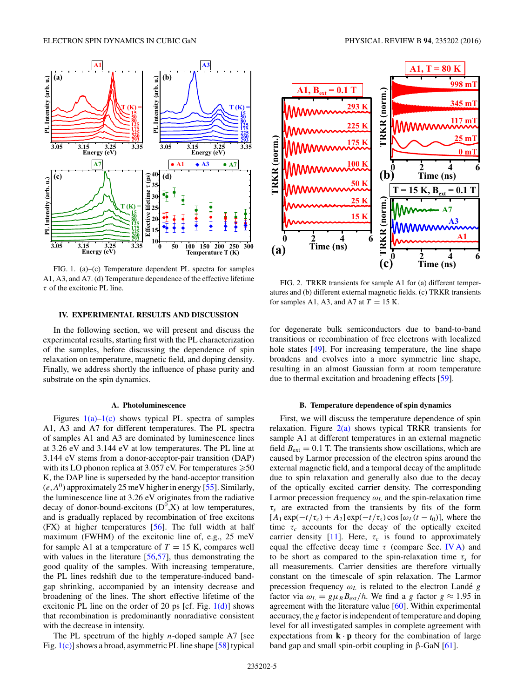<span id="page-4-0"></span>

FIG. 1. (a)–(c) Temperature dependent PL spectra for samples A1, A3, and A7. (d) Temperature dependence of the effective lifetime *τ* of the excitonic PL line.

#### **IV. EXPERIMENTAL RESULTS AND DISCUSSION**

In the following section, we will present and discuss the experimental results, starting first with the PL characterization of the samples, before discussing the dependence of spin relaxation on temperature, magnetic field, and doping density. Finally, we address shortly the influence of phase purity and substrate on the spin dynamics.

#### **A. Photoluminescence**

Figures  $1(a)-1(c)$  shows typical PL spectra of samples A1, A3 and A7 for different temperatures. The PL spectra of samples A1 and A3 are dominated by luminescence lines at 3.26 eV and 3.144 eV at low temperatures. The PL line at 3.144 eV stems from a donor-acceptor-pair transition (DAP) with its LO phonon replica at 3.057 eV. For temperatures  ${\geqslant}50$ K, the DAP line is superseded by the band-acceptor transition  $(e, A^0)$  approximately 25 meV higher in energy [\[55\]](#page-13-0). Similarly, the luminescence line at 3.26 eV originates from the radiative decay of donor-bound-excitons  $(D^0, X)$  at low temperatures, and is gradually replaced by recombination of free excitons (FX) at higher temperatures [\[56\]](#page-13-0). The full width at half maximum (FWHM) of the excitonic line of, e.g., 25 meV for sample A1 at a temperature of  $T = 15$  K, compares well with values in the literature [\[56,57\]](#page-13-0), thus demonstrating the good quality of the samples. With increasing temperature, the PL lines redshift due to the temperature-induced bandgap shrinking, accompanied by an intensity decrease and broadening of the lines. The short effective lifetime of the excitonic PL line on the order of 20 ps [cf. Fig.  $1(d)$ ] shows that recombination is predominantly nonradiative consistent with the decrease in intensity.

The PL spectrum of the highly *n*-doped sample A7 [see Fig. 1(c)] shows a broad, asymmetric PL line shape [\[58\]](#page-13-0) typical



FIG. 2. TRKR transients for sample A1 for (a) different temperatures and (b) different external magnetic fields. (c) TRKR transients for samples A1, A3, and A7 at  $T = 15$  K.

for degenerate bulk semiconductors due to band-to-band transitions or recombination of free electrons with localized hole states [\[49\]](#page-13-0). For increasing temperature, the line shape broadens and evolves into a more symmetric line shape, resulting in an almost Gaussian form at room temperature due to thermal excitation and broadening effects [\[59\]](#page-13-0).

# **B. Temperature dependence of spin dynamics**

First, we will discuss the temperature dependence of spin relaxation. Figure  $2(a)$  shows typical TRKR transients for sample A1 at different temperatures in an external magnetic field  $B_{\text{ext}} = 0.1$  T. The transients show oscillations, which are caused by Larmor precession of the electron spins around the external magnetic field, and a temporal decay of the amplitude due to spin relaxation and generally also due to the decay of the optically excited carrier density. The corresponding Larmor precession frequency  $\omega_L$  and the spin-relaxation time *τs* are extracted from the transients by fits of the form  $[A_1 \exp(-t/\tau_c) + A_2] \exp(-t/\tau_s) \cos[\omega_L(t - t_0)]$ , where the time  $\tau_c$  accounts for the decay of the optically excited carrier density [\[11\]](#page-13-0). Here,  $\tau_c$  is found to approximately equal the effective decay time  $\tau$  (compare Sec. IV A) and to be short as compared to the spin-relaxation time  $\tau_s$  for all measurements. Carrier densities are therefore virtually constant on the timescale of spin relaxation. The Larmor precession frequency  $\omega_L$  is related to the electron Landé  $g$ factor via  $\omega_L = g \mu_B B_{\text{ext}}/\hbar$ . We find a *g* factor  $g \approx 1.95$  in agreement with the literature value [\[60\]](#page-13-0). Within experimental accuracy, the *g* factor is independent of temperature and doping level for all investigated samples in complete agreement with expectations from  $\mathbf{k} \cdot \mathbf{p}$  theory for the combination of large band gap and small spin-orbit coupling in  $\beta$ -GaN [\[61\]](#page-14-0).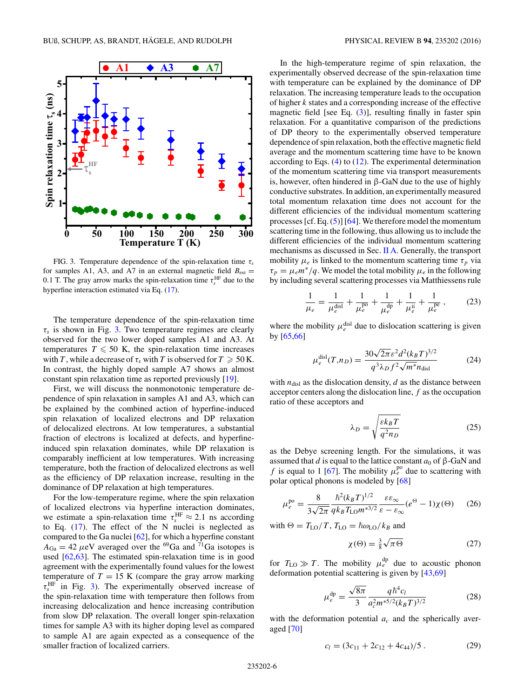

FIG. 3. Temperature dependence of the spin-relaxation time *τs* for samples A1, A3, and A7 in an external magnetic field  $B_{ext}$  = 0.1 T. The gray arrow marks the spin-relaxation time  $\tau_s^{\text{HF}}$  due to the hyperfine interaction estimated via Eq. [\(17\)](#page-2-0).

The temperature dependence of the spin-relaxation time  $\tau_s$  is shown in Fig. 3. Two temperature regimes are clearly observed for the two lower doped samples A1 and A3. At temperatures  $T \le 50$  K, the spin-relaxation time increases with *T*, while a decrease of  $\tau_s$  with *T* is observed for  $T \geq 50$  K. In contrast, the highly doped sample A7 shows an almost constant spin relaxation time as reported previously [\[19\]](#page-13-0).

First, we will discuss the nonmonotonic temperature dependence of spin relaxation in samples A1 and A3, which can be explained by the combined action of hyperfine-induced spin relaxation of localized electrons and DP relaxation of delocalized electrons. At low temperatures, a substantial fraction of electrons is localized at defects, and hyperfineinduced spin relaxation dominates, while DP relaxation is comparably inefficient at low temperatures. With increasing temperature, both the fraction of delocalized electrons as well as the efficiency of DP relaxation increase, resulting in the dominance of DP relaxation at high temperatures.

For the low-temperature regime, where the spin relaxation of localized electrons via hyperfine interaction dominates, we estimate a spin-relaxation time  $\tau_s^{\text{HF}} \approx 2.1$  ns according to Eq. [\(17\)](#page-2-0). The effect of the N nuclei is neglected as compared to the Ga nuclei [\[62\]](#page-14-0), for which a hyperfine constant  $A_{Ga} = 42 \mu eV$  averaged over the <sup>69</sup>Ga and <sup>71</sup>Ga isotopes is used [\[62,63\]](#page-14-0). The estimated spin-relaxation time is in good agreement with the experimentally found values for the lowest temperature of  $T = 15$  K (compare the gray arrow marking  $\tau_s^{\text{HF}}$  in Fig. 3). The experimentally observed increase of the spin-relaxation time with temperature then follows from increasing delocalization and hence increasing contribution from slow DP relaxation. The overall longer spin-relaxation times for sample A3 with its higher doping level as compared to sample A1 are again expected as a consequence of the smaller fraction of localized carriers.

In the high-temperature regime of spin relaxation, the experimentally observed decrease of the spin-relaxation time with temperature can be explained by the dominance of DP relaxation. The increasing temperature leads to the occupation of higher *k* states and a corresponding increase of the effective magnetic field [see Eq. [\(3\)](#page-1-0)], resulting finally in faster spin relaxation. For a quantitative comparison of the predictions of DP theory to the experimentally observed temperature dependence of spin relaxation, both the effective magnetic field average and the momentum scattering time have to be known according to Eqs. [\(4\)](#page-1-0) to [\(12\)](#page-1-0). The experimental determination of the momentum scattering time via transport measurements is, however, often hindered in β-GaN due to the use of highly conductive substrates. In addition, an experimentally measured total momentum relaxation time does not account for the different efficiencies of the individual momentum scattering processes  $[cf. Eq. (5)] [64]$  $[cf. Eq. (5)] [64]$  $[cf. Eq. (5)] [64]$  $[cf. Eq. (5)] [64]$ . We therefore model the momentum scattering time in the following, thus allowing us to include the different efficiencies of the individual momentum scattering mechanisms as discussed in Sec. [II A.](#page-0-0) Generally, the transport mobility  $\mu_e$  is linked to the momentum scattering time  $\tau_p$  via  $\tau_p = \mu_e m^*/q$ . We model the total mobility  $\mu_e$  in the following by including several scattering processes via Matthiessens rule

$$
\frac{1}{\mu_e} = \frac{1}{\mu_e^{\text{disl}}} + \frac{1}{\mu_e^{\text{po}}} + \frac{1}{\mu_e^{\text{dp}}} + \frac{1}{\mu_e^{\text{ii}}} + \frac{1}{\mu_e^{\text{pe}}},\tag{23}
$$

where the mobility  $\mu_e^{\text{disl}}$  due to dislocation scattering is given by [\[65,66\]](#page-14-0)

$$
\mu_e^{\text{disl}}(T, n_D) = \frac{30\sqrt{2\pi} \varepsilon^2 d^2 (k_B T)^{3/2}}{q^3 \lambda_D f^2 \sqrt{m^*} n_{\text{disl}}} \tag{24}
$$

with  $n_{disl}$  as the dislocation density,  $d$  as the distance between acceptor centers along the dislocation line, *f* as the occupation ratio of these acceptors and

$$
\lambda_D = \sqrt{\frac{\varepsilon k_B T}{q^2 n_D}}\tag{25}
$$

as the Debye screening length. For the simulations, it was assumed that *d* is equal to the lattice constant  $a_0$  of  $\beta$ -GaN and *f* is equal to 1 [\[67\]](#page-14-0). The mobility  $\mu_e^{po}$  due to scattering with polar optical phonons is modeled by [\[68\]](#page-14-0)

$$
\mu_e^{\text{po}} = \frac{8}{3\sqrt{2\pi}} \frac{\hbar^2 (k_B T)^{1/2}}{q k_B T_{\text{LO}} m^{*3/2}} \frac{\varepsilon \varepsilon_{\infty}}{\varepsilon - \varepsilon_{\infty}} (e^{\Theta} - 1) \chi(\Theta) \tag{26}
$$

with  $\Theta = T_{\text{LO}}/T$ ,  $T_{\text{LO}} = \hbar \omega_{\text{LO}}/k_B$  and

$$
\chi(\Theta) = \frac{3}{8}\sqrt{\pi \Theta} \tag{27}
$$

for  $T_{\text{LO}} \gg T$ . The mobility  $\mu_e^{\text{dp}}$  due to acoustic phonon deformation potential scattering is given by [\[43](#page-13-0)[,69\]](#page-14-0)

$$
\mu_e^{\rm dp} = \frac{\sqrt{8\pi}}{3} \frac{q\hbar^4 c_l}{a_c^2 m^{*5/2} (k_B T)^{3/2}} \tag{28}
$$

with the deformation potential  $a_c$  and the spherically averaged [\[70\]](#page-14-0)

$$
c_l = (3c_{11} + 2c_{12} + 4c_{44})/5. \tag{29}
$$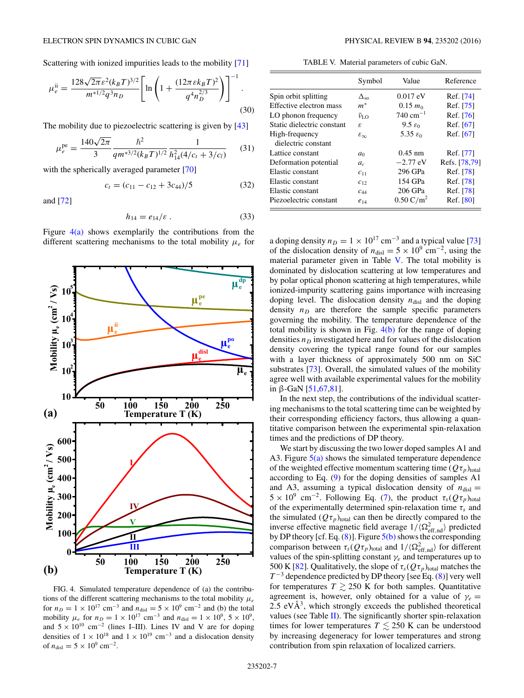Scattering with ionized impurities leads to the mobility [\[71\]](#page-14-0)

$$
\mu_e^{\text{ii}} = \frac{128\sqrt{2\pi}\varepsilon^2 (k_B T)^{3/2}}{m^{*1/2}q^3 n_D} \left[ \ln \left( 1 + \frac{(12\pi\varepsilon k_B T)^2}{q^4 n_D^{2/3}} \right) \right]^{-1} . \tag{30}
$$

The mobility due to piezoelectric scattering is given by [\[43\]](#page-13-0)

$$
\mu_e^{\text{pe}} = \frac{140\sqrt{2\pi}}{3} \frac{\hbar^2}{qm^{*3/2}(k_B T)^{1/2}} \frac{1}{h_{14}^2(4/c_t + 3/c_l)}\tag{31}
$$

with the spherically averaged parameter [\[70\]](#page-14-0)

$$
c_t = (c_{11} - c_{12} + 3c_{44})/5 \tag{32}
$$

and [\[72\]](#page-14-0)

$$
h_{14} = e_{14}/\varepsilon \tag{33}
$$

Figure  $4(a)$  shows exemplarily the contributions from the different scattering mechanisms to the total mobility *μe* for



FIG. 4. Simulated temperature dependence of (a) the contributions of the different scattering mechanisms to the total mobility  $\mu_e$ for  $n_D = 1 \times 10^{17}$  cm<sup>-3</sup> and  $n_{disl} = 5 \times 10^9$  cm<sup>-2</sup> and (b) the total mobility  $\mu_e$  for  $n_D = 1 \times 10^{17}$  cm<sup>-3</sup> and  $n_{\text{disl}} = 1 \times 10^9$ ,  $5 \times 10^9$ , and  $5 \times 10^{10}$  cm<sup>-2</sup> (lines I–III). Lines IV and V are for doping densities of  $1 \times 10^{18}$  and  $1 \times 10^{19}$  cm<sup>-3</sup> and a dislocation density of  $n_{\text{disl}} = 5 \times 10^9 \text{ cm}^{-2}$ .

TABLE V. Material parameters of cubic GaN.

|                            | Symbol                      | Value                 | Reference     |
|----------------------------|-----------------------------|-----------------------|---------------|
| Spin orbit splitting       | $\Delta_{so}$               | $0.017$ eV            | Ref. [74]     |
| Effective electron mass    | $m^*$                       | $0.15 m_0$            | Ref. [75]     |
| LO phonon frequency        | $\tilde{\nu}_{\mathrm{LO}}$ | $740 \text{ cm}^{-1}$ | Ref. [76]     |
| Static dielectric constant | ε                           | $9.5 \epsilon_0$      | Ref. [67]     |
| High-frequency             | $\varepsilon_{\infty}$      | 5.35 $\varepsilon_0$  | Ref. [67]     |
| dielectric constant        |                             |                       |               |
| Lattice constant           | $a_0$                       | $0.45$ nm             | Ref. [77]     |
| Deformation potential      | a <sub>c</sub>              | $-2.77$ eV            | Refs. [78.79] |
| Elastic constant           | $C_{11}$                    | 296 GPa               | Ref. [78]     |
| Elastic constant           | $C_{12}$                    | 154 GPa               | Ref. [78]     |
| Elastic constant           | $c_{44}$                    | 206 GPa               | Ref. [78]     |
| Piezoelectric constant     | $e_{14}$                    | $0.50 \text{ C/m}^2$  | Ref. [80]     |
|                            |                             |                       |               |

a doping density  $n_D = 1 \times 10^{17}$  cm<sup>-3</sup> and a typical value [\[73\]](#page-14-0) of the dislocation density of  $n_{\text{disl}} = 5 \times 10^9 \text{ cm}^{-2}$ , using the material parameter given in Table V. The total mobility is dominated by dislocation scattering at low temperatures and by polar optical phonon scattering at high temperatures, while ionized-impurity scattering gains importance with increasing doping level. The dislocation density  $n_{disl}$  and the doping density  $n<sub>D</sub>$  are therefore the sample specific parameters governing the mobility. The temperature dependence of the total mobility is shown in Fig.  $4(b)$  for the range of doping densities  $n<sub>D</sub>$  investigated here and for values of the dislocation density covering the typical range found for our samples with a layer thickness of approximately 500 nm on SiC substrates [\[73\]](#page-14-0). Overall, the simulated values of the mobility agree well with available experimental values for the mobility in β-GaN  $[51,67,81]$  $[51,67,81]$ .

In the next step, the contributions of the individual scattering mechanisms to the total scattering time can be weighted by their corresponding efficiency factors, thus allowing a quantitative comparison between the experimental spin-relaxation times and the predictions of DP theory.

We start by discussing the two lower doped samples A1 and A3. Figure  $5(a)$  shows the simulated temperature dependence of the weighted effective momentum scattering time  $(Q\tau_p)_{total}$ according to Eq. [\(9\)](#page-1-0) for the doping densities of samples A1 and A3, assuming a typical dislocation density of  $n_{dis}$  =  $5 \times 10^9$  cm<sup>-2</sup>. Following Eq. [\(7\)](#page-1-0), the product  $\tau_s(Q\tau_p)_{\text{total}}$ of the experimentally determined spin-relaxation time *τs* and the simulated  $(Q\tau_p)_{total}$  can then be directly compared to the inverse effective magnetic field average  $1/(\Omega_{\text{eff},\text{nd}}^2)$  predicted by DP theory [cf. Eq.  $(8)$ ]. Figure  $5(b)$  shows the corresponding comparison between  $\tau_s(Q\tau_p)_{\text{total}}$  and  $1/\langle \Omega_{\text{eff},\text{nd}}^2 \rangle$  for different values of the spin-splitting constant *γe* and temperatures up to 500 K [\[82\]](#page-14-0). Qualitatively, the slope of  $\tau_s(Q\tau_p)_{\text{total}}$  matches the  $T^{-3}$  dependence predicted by DP theory [see Eq. [\(8\)](#page-1-0)] very well for temperatures  $T \gtrsim 250$  K for both samples. Quantitative agreement is, however, only obtained for a value of  $\gamma_e$  =  $2.5 \text{ eV} \text{\AA}^3$ , which strongly exceeds the published theoretical values (see Table [II\)](#page-3-0). The significantly shorter spin-relaxation times for lower temperatures  $T \lesssim 250$  K can be understood by increasing degeneracy for lower temperatures and strong contribution from spin relaxation of localized carriers.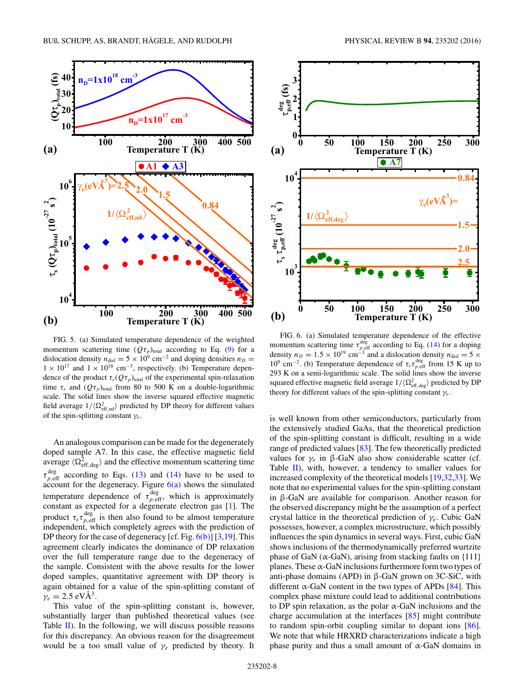<span id="page-7-0"></span>

FIG. 5. (a) Simulated temperature dependence of the weighted momentum scattering time  $(Q\tau_p)_{total}$  according to Eq. [\(9\)](#page-1-0) for a dislocation density  $n_{\text{disl}} = 5 \times 10^9 \text{ cm}^{-2}$  and doping densities  $n_D =$  $1 \times 10^{17}$  and  $1 \times 10^{18}$  cm<sup>-3</sup>, respectively. (b) Temperature dependence of the product  $\tau_s(Q\tau_p)_{\text{total}}$  of the experimental spin-relaxation time  $\tau_s$  and  $(Q\tau_p)_{\text{total}}$  from 80 to 500 K on a double-logarithmic scale. The solid lines show the inverse squared effective magnetic field average  $1/\langle \Omega_{\text{eff},\text{nd}}^2 \rangle$  predicted by DP theory for different values of the spin-splitting constant *γe*.

An analogous comparison can be made for the degenerately doped sample A7. In this case, the effective magnetic field average  $\langle \Omega_{\text{eff},\text{deg}}^2 \rangle$  and the effective momentum scattering time  $\tau_{p,eff}^{\text{deg}}$  according to Eqs. [\(13\)](#page-1-0) and [\(14\)](#page-1-0) have to be used to account for the degeneracy. Figure  $6(a)$  shows the simulated temperature dependence of  $\tau_{p, \text{eff}}^{\text{deg}}$ , which is approximately constant as expected for a degenerate electron gas [\[1\]](#page-13-0). The product  $\tau_s \tau_{p, \text{eff}}^{\text{deg}}$  is then also found to be almost temperature independent, which completely agrees with the prediction of DP theory for the case of degeneracy [cf. Fig.  $6(b)$ ] [\[3,19\]](#page-13-0). This agreement clearly indicates the dominance of DP relaxation over the full temperature range due to the degeneracy of the sample. Consistent with the above results for the lower doped samples, quantitative agreement with DP theory is again obtained for a value of the spin-splitting constant of  $\gamma_e = 2.5 \text{ eV} \text{\AA}^3$ .

This value of the spin-splitting constant is, however, substantially larger than published theoretical values (see Table  $\mathbf{II}$ ). In the following, we will discuss possible reasons for this discrepancy. An obvious reason for the disagreement would be a too small value of *γe* predicted by theory. It



FIG. 6. (a) Simulated temperature dependence of the effective momentum scattering time  $\tau_{p,\text{eff}}^{\text{deg}}$  according to Eq. [\(14\)](#page-1-0) for a doping density  $n_D = 1.5 \times 10^{19}$  cm<sup>-3</sup> and a dislocation density  $n_{\text{disl}} = 5 \times$ 10<sup>9</sup> cm<sup>-2</sup>. (b) Temperature dependence of  $\tau_s \tau_{p, \text{eff}}^{\text{deg}}$  from 15 K up to 293 K on a semi-logarithmic scale. The solid lines show the inverse squared effective magnetic field average  $1/\langle \Omega_{\text{eff},\text{deg}}^2 \rangle$  predicted by DP theory for different values of the spin-splitting constant *γe*.

is well known from other semiconductors, particularly from the extensively studied GaAs, that the theoretical prediction of the spin-splitting constant is difficult, resulting in a wide range of predicted values [\[83\]](#page-14-0). The few theoretically predicted values for  $γ_e$  in β-GaN also show considerable scatter (cf. Table  $II$ ), with, however, a tendency to smaller values for increased complexity of the theoretical models [\[19,32,33\]](#page-13-0). We note that no experimental values for the spin-splitting constant in β-GaN are available for comparison. Another reason for the observed discrepancy might be the assumption of a perfect crystal lattice in the theoretical prediction of *γe*. Cubic GaN possesses, however, a complex microstructure, which possibly influences the spin dynamics in several ways. First, cubic GaN shows inclusions of the thermodynamically preferred wurtzite phase of GaN ( $\alpha$ -GaN), arising from stacking faults on {111} planes. These  $\alpha$ -GaN inclusions furthermore form two types of anti-phase domains (APD) in β-GaN grown on 3C-SiC, with different α-GaN content in the two types of APDs  $[84]$ . This complex phase mixture could lead to additional contributions to DP spin relaxation, as the polar  $\alpha$ -GaN inclusions and the charge accumulation at the interfaces [\[85\]](#page-14-0) might contribute to random spin-orbit coupling similar to dopant ions [\[86\]](#page-14-0). We note that while HRXRD characterizations indicate a high phase purity and thus a small amount of  $α$ -GaN domains in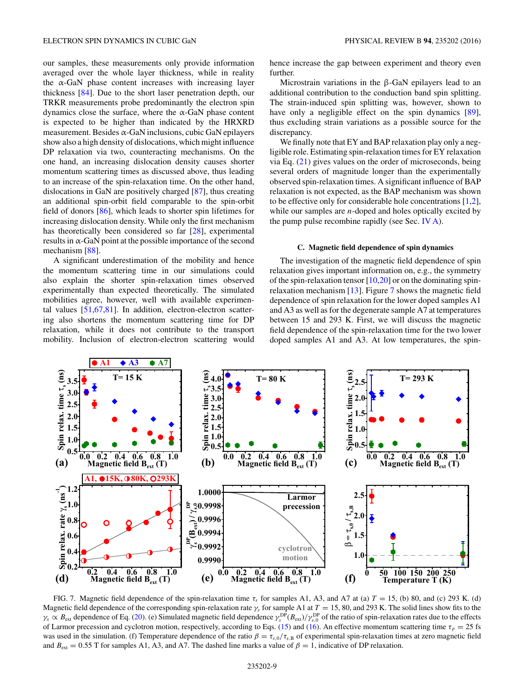<span id="page-8-0"></span>our samples, these measurements only provide information averaged over the whole layer thickness, while in reality the  $\alpha$ -GaN phase content increases with increasing layer thickness [\[84\]](#page-14-0). Due to the short laser penetration depth, our TRKR measurements probe predominantly the electron spin dynamics close the surface, where the  $\alpha$ -GaN phase content is expected to be higher than indicated by the HRXRD measurement. Besides  $\alpha$ -GaN inclusions, cubic GaN epilayers show also a high density of dislocations, which might influence DP relaxation via two, counteracting mechanisms. On the one hand, an increasing dislocation density causes shorter momentum scattering times as discussed above, thus leading to an increase of the spin-relaxation time. On the other hand, dislocations in GaN are positively charged [\[87\]](#page-14-0), thus creating an additional spin-orbit field comparable to the spin-orbit field of donors [\[86\]](#page-14-0), which leads to shorter spin lifetimes for increasing dislocation density. While only the first mechanism has theoretically been considered so far [\[28\]](#page-13-0), experimental results in  $\alpha$ -GaN point at the possible importance of the second mechanism [\[88\]](#page-14-0).

A significant underestimation of the mobility and hence the momentum scattering time in our simulations could also explain the shorter spin-relaxation times observed experimentally than expected theoretically. The simulated mobilities agree, however, well with available experimental values [\[51,](#page-13-0)[67,81\]](#page-14-0). In addition, electron-electron scattering also shortens the momentum scattering time for DP relaxation, while it does not contribute to the transport mobility. Inclusion of electron-electron scattering would hence increase the gap between experiment and theory even further.

Microstrain variations in the β-GaN epilayers lead to an additional contribution to the conduction band spin splitting. The strain-induced spin splitting was, however, shown to have only a negligible effect on the spin dynamics [\[89\]](#page-14-0), thus excluding strain variations as a possible source for the discrepancy.

We finally note that EY and BAP relaxation play only a negligible role. Estimating spin-relaxation times for EY relaxation via Eq. [\(21\)](#page-2-0) gives values on the order of microseconds, being several orders of magnitude longer than the experimentally observed spin-relaxation times. A significant influence of BAP relaxation is not expected, as the BAP mechanism was shown to be effective only for considerable hole concentrations [\[1,2\]](#page-13-0), while our samples are *n*-doped and holes optically excited by the pump pulse recombine rapidly (see Sec. [IV A\)](#page-4-0).

#### **C. Magnetic field dependence of spin dynamics**

The investigation of the magnetic field dependence of spin relaxation gives important information on, e.g., the symmetry of the spin-relaxation tensor  $[10,20]$  or on the dominating spinrelaxation mechanism [\[13\]](#page-13-0). Figure 7 shows the magnetic field dependence of spin relaxation for the lower doped samples A1 and A3 as well as for the degenerate sample A7 at temperatures between 15 and 293 K. First, we will discuss the magnetic field dependence of the spin-relaxation time for the two lower doped samples A1 and A3. At low temperatures, the spin-



FIG. 7. Magnetic field dependence of the spin-relaxation time  $\tau_s$  for samples A1, A3, and A7 at (a)  $T = 15$ , (b) 80, and (c) 293 K. (d) Magnetic field dependence of the corresponding spin-relaxation rate *γs* for sample A1 at *T* = 15, 80, and 293 K. The solid lines show fits to the  $\gamma_s \propto B_{\text{ext}}$  dependence of Eq. [\(20\)](#page-2-0). (e) Simulated magnetic field dependence  $\gamma_s^{\text{DP}}(B_{\text{ext}})/\gamma_{s,0}^{\text{DP}}$  of the ratio of spin-relaxation rates due to the effects of Larmor precession and cyclotron motion, respectively, according to Eqs. [\(15\)](#page-1-0) and [\(16\)](#page-2-0). An effective momentum scattering time  $\tau_p = 25$  fs was used in the simulation. (f) Temperature dependence of the ratio  $\beta = \tau_{s,0}/\tau_{s,B}$  of experimental spin-relaxation times at zero magnetic field and  $B_{\text{ext}} = 0.55$  T for samples A1, A3, and A7. The dashed line marks a value of  $\beta = 1$ , indicative of DP relaxation.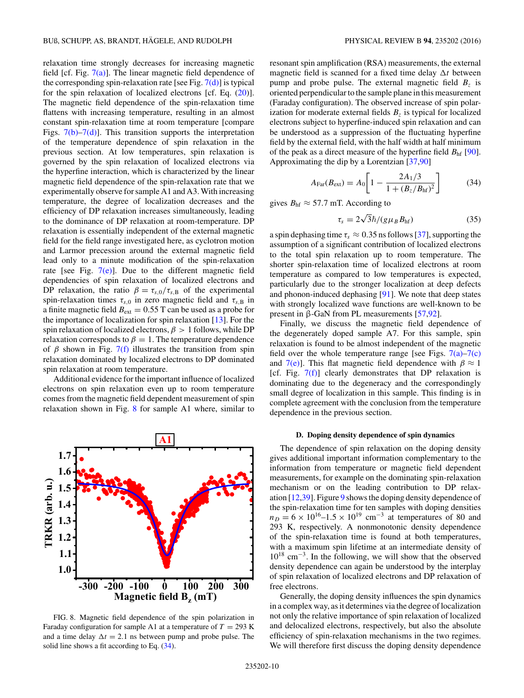relaxation time strongly decreases for increasing magnetic field [cf. Fig.  $7(a)$ ]. The linear magnetic field dependence of the corresponding spin-relaxation rate [see Fig.  $7(d)$ ] is typical for the spin relaxation of localized electrons [cf. Eq. [\(20\)](#page-2-0)]. The magnetic field dependence of the spin-relaxation time flattens with increasing temperature, resulting in an almost constant spin-relaxation time at room temperature [compare Figs.  $7(b)$ – $7(d)$ ]. This transition supports the interpretation of the temperature dependence of spin relaxation in the previous section. At low temperatures, spin relaxation is governed by the spin relaxation of localized electrons via the hyperfine interaction, which is characterized by the linear magnetic field dependence of the spin-relaxation rate that we experimentally observe for sample A1 and A3. With increasing temperature, the degree of localization decreases and the efficiency of DP relaxation increases simultaneously, leading to the dominance of DP relaxation at room-temperature. DP relaxation is essentially independent of the external magnetic field for the field range investigated here, as cyclotron motion and Larmor precession around the external magnetic field lead only to a minute modification of the spin-relaxation rate [see Fig.  $7(e)$ ]. Due to the different magnetic field dependencies of spin relaxation of localized electrons and DP relaxation, the ratio  $\beta = \tau_{s,0}/\tau_{s,B}$  of the experimental spin-relaxation times  $\tau_{s,0}$  in zero magnetic field and  $\tau_{s,B}$  in a finite magnetic field  $B_{ext} = 0.55$  T can be used as a probe for the importance of localization for spin relaxation [\[13\]](#page-13-0). For the spin relaxation of localized electrons, *β >* 1 follows, while DP relaxation corresponds to  $\beta = 1$ . The temperature dependence of  $\beta$  shown in Fig. [7\(f\)](#page-8-0) illustrates the transition from spin relaxation dominated by localized electrons to DP dominated spin relaxation at room temperature.

Additional evidence for the important influence of localized electrons on spin relaxation even up to room temperature comes from the magnetic field dependent measurement of spin relaxation shown in Fig. 8 for sample A1 where, similar to



FIG. 8. Magnetic field dependence of the spin polarization in Faraday configuration for sample A1 at a temperature of  $T = 293$  K and a time delay  $\Delta t = 2.1$  ns between pump and probe pulse. The solid line shows a fit according to Eq. (34).

resonant spin amplification (RSA) measurements, the external magnetic field is scanned for a fixed time delay  $\Delta t$  between pump and probe pulse. The external magnetic field  $B_z$  is oriented perpendicular to the sample plane in this measurement (Faraday configuration). The observed increase of spin polarization for moderate external fields  $B<sub>z</sub>$  is typical for localized electrons subject to hyperfine-induced spin relaxation and can be understood as a suppression of the fluctuating hyperfine field by the external field, with the half width at half minimum of the peak as a direct measure of the hyperfine field  $B<sub>hf</sub>$  [\[90\]](#page-14-0). Approximating the dip by a Lorentzian [\[37,](#page-13-0)[90\]](#page-14-0)

$$
A_{\text{Far}}(B_{\text{ext}}) = A_0 \left[ 1 - \frac{2A_1/3}{1 + (B_z/B_{\text{hf}})^2} \right]
$$
(34)

gives  $B_{\text{hf}} \approx 57.7$  mT. According to

$$
\tau_s = 2\sqrt{3}\hbar/(g\mu_B B_{\rm hf})\tag{35}
$$

a spin dephasing time  $\tau_s \approx 0.35$  ns follows [\[37\]](#page-13-0), supporting the assumption of a significant contribution of localized electrons to the total spin relaxation up to room temperature. The shorter spin-relaxation time of localized electrons at room temperature as compared to low temperatures is expected, particularly due to the stronger localization at deep defects and phonon-induced dephasing [\[91\]](#page-14-0). We note that deep states with strongly localized wave functions are well-known to be present in β-GaN from PL measurements [\[57,](#page-13-0)[92\]](#page-14-0).

Finally, we discuss the magnetic field dependence of the degenerately doped sample A7. For this sample, spin relaxation is found to be almost independent of the magnetic field over the whole temperature range [see Figs.  $7(a)$ – $7(c)$ ] and  $7(e)$ ]. This flat magnetic field dependence with  $\beta \approx 1$ [cf. Fig.  $7(f)$ ] clearly demonstrates that DP relaxation is dominating due to the degeneracy and the correspondingly small degree of localization in this sample. This finding is in complete agreement with the conclusion from the temperature dependence in the previous section.

### **D. Doping density dependence of spin dynamics**

The dependence of spin relaxation on the doping density gives additional important information complementary to the information from temperature or magnetic field dependent measurements, for example on the dominating spin-relaxation mechanism or on the leading contribution to DP relaxation [\[12,39\]](#page-13-0). Figure [9](#page-10-0) shows the doping density dependence of the spin-relaxation time for ten samples with doping densities  $n_D = 6 \times 10^{16} - 1.5 \times 10^{19}$  cm<sup>-3</sup> at temperatures of 80 and 293 K, respectively. A nonmonotonic density dependence of the spin-relaxation time is found at both temperatures, with a maximum spin lifetime at an intermediate density of 1018 cm<sup>−</sup>3. In the following, we will show that the observed density dependence can again be understood by the interplay of spin relaxation of localized electrons and DP relaxation of free electrons.

Generally, the doping density influences the spin dynamics in a complex way, as it determines via the degree of localization not only the relative importance of spin relaxation of localized and delocalized electrons, respectively, but also the absolute efficiency of spin-relaxation mechanisms in the two regimes. We will therefore first discuss the doping density dependence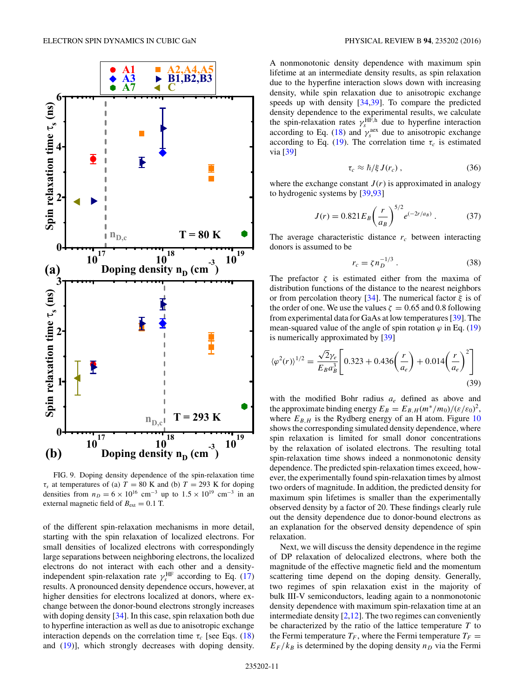<span id="page-10-0"></span>

FIG. 9. Doping density dependence of the spin-relaxation time  $\tau_s$  at temperatures of (a)  $T = 80$  K and (b)  $T = 293$  K for doping densities from  $n_D = 6 \times 10^{16}$  cm<sup>-3</sup> up to  $1.5 \times 10^{19}$  cm<sup>-3</sup> in an external magnetic field of  $B_{ext} = 0.1$  T.

of the different spin-relaxation mechanisms in more detail, starting with the spin relaxation of localized electrons. For small densities of localized electrons with correspondingly large separations between neighboring electrons, the localized electrons do not interact with each other and a densityindependent spin-relaxation rate  $\gamma_s^{\text{HF}}$  according to Eq. [\(17\)](#page-2-0) results. A pronounced density dependence occurs, however, at higher densities for electrons localized at donors, where exchange between the donor-bound electrons strongly increases with doping density [\[34\]](#page-13-0). In this case, spin relaxation both due to hyperfine interaction as well as due to anisotropic exchange interaction depends on the correlation time  $\tau_c$  [see Eqs. [\(18\)](#page-2-0) and [\(19\)](#page-2-0)], which strongly decreases with doping density.

A nonmonotonic density dependence with maximum spin lifetime at an intermediate density results, as spin relaxation due to the hyperfine interaction slows down with increasing density, while spin relaxation due to anisotropic exchange speeds up with density [\[34,39\]](#page-13-0). To compare the predicted density dependence to the experimental results, we calculate the spin-relaxation rates  $\gamma_s^{\text{HF},h}$  due to hyperfine interaction according to Eq. [\(18\)](#page-2-0) and  $\gamma_s^{\text{aex}}$  due to anisotropic exchange according to Eq. [\(19\)](#page-2-0). The correlation time  $\tau_c$  is estimated via [\[39\]](#page-13-0)

$$
\tau_c \approx \hbar/\xi \, J(r_c) \,, \tag{36}
$$

where the exchange constant  $J(r)$  is approximated in analogy to hydrogenic systems by [\[39](#page-13-0)[,93\]](#page-14-0)

$$
J(r) = 0.821 E_B \left(\frac{r}{a_B}\right)^{5/2} e^{(-2r/a_B)}.
$$
 (37)

The average characteristic distance  $r_c$  between interacting donors is assumed to be

$$
r_c = \zeta n_D^{-1/3} \,. \tag{38}
$$

The prefactor  $\zeta$  is estimated either from the maxima of distribution functions of the distance to the nearest neighbors or from percolation theory [\[34\]](#page-13-0). The numerical factor *ξ* is of the order of one. We use the values  $\zeta = 0.65$  and 0.8 following from experimental data for GaAs at low temperatures [\[39\]](#page-13-0). The mean-squared value of the angle of spin rotation  $\varphi$  in Eq. [\(19\)](#page-2-0) is numerically approximated by [\[39\]](#page-13-0)

$$
\langle \varphi^2(r) \rangle^{1/2} = \frac{\sqrt{2} \gamma_e}{E_B a_B^3} \left[ 0.323 + 0.436 \left( \frac{r}{a_e} \right) + 0.014 \left( \frac{r}{a_e} \right)^2 \right]
$$
(39)

with the modified Bohr radius *ae* defined as above and the approximate binding energy  $E_B = E_{B,H}(m^*/m_0)/(\varepsilon/\varepsilon_0)^2$ , where  $E_{B,H}$  is the Rydberg energy of an H atom. Figure [10](#page-11-0) shows the corresponding simulated density dependence, where spin relaxation is limited for small donor concentrations by the relaxation of isolated electrons. The resulting total spin-relaxation time shows indeed a nonmonotonic density dependence. The predicted spin-relaxation times exceed, however, the experimentally found spin-relaxation times by almost two orders of magnitude. In addition, the predicted density for maximum spin lifetimes is smaller than the experimentally observed density by a factor of 20. These findings clearly rule out the density dependence due to donor-bound electrons as an explanation for the observed density dependence of spin relaxation.

Next, we will discuss the density dependence in the regime of DP relaxation of delocalized electrons, where both the magnitude of the effective magnetic field and the momentum scattering time depend on the doping density. Generally, two regimes of spin relaxation exist in the majority of bulk III-V semiconductors, leading again to a nonmonotonic density dependence with maximum spin-relaxation time at an intermediate density  $[2,12]$ . The two regimes can conveniently be characterized by the ratio of the lattice temperature *T* to the Fermi temperature  $T_F$ , where the Fermi temperature  $T_F =$  $E_F/k_B$  is determined by the doping density  $n_D$  via the Fermi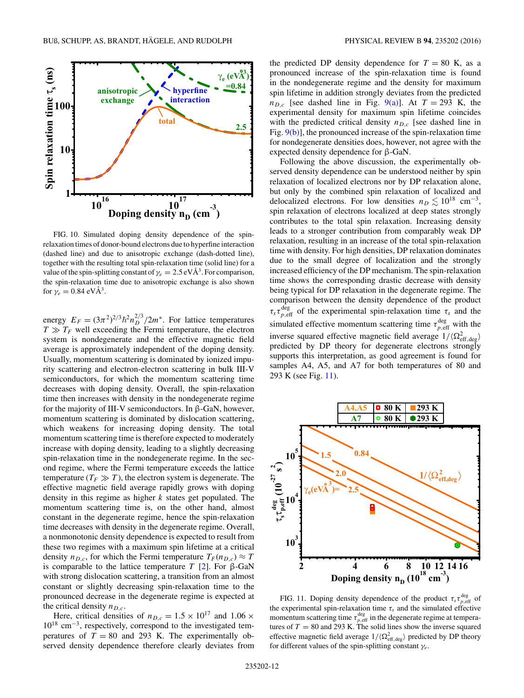<span id="page-11-0"></span>

FIG. 10. Simulated doping density dependence of the spinrelaxation times of donor-bound electrons due to hyperfine interaction (dashed line) and due to anisotropic exchange (dash-dotted line), together with the resulting total spin-relaxation time (solid line) for a value of the spin-splitting constant of  $\gamma_e = 2.5 \text{ eV} \text{Å}^3$ . For comparison, the spin-relaxation time due to anisotropic exchange is also shown for  $\gamma_e = 0.84 \text{ eV} \text{Å}^3$ .

energy  $E_F = (3\pi^2)^{2/3} \hbar^2 n_D^{2/3} / 2m^*$ . For lattice temperatures  $T \gg T_F$  well exceeding the Fermi temperature, the electron system is nondegenerate and the effective magnetic field average is approximately independent of the doping density. Usually, momentum scattering is dominated by ionized impurity scattering and electron-electron scattering in bulk III-V semiconductors, for which the momentum scattering time decreases with doping density. Overall, the spin-relaxation time then increases with density in the nondegenerate regime for the majority of III-V semiconductors. In β-GaN, however, momentum scattering is dominated by dislocation scattering, which weakens for increasing doping density. The total momentum scattering time is therefore expected to moderately increase with doping density, leading to a slightly decreasing spin-relaxation time in the nondegenerate regime. In the second regime, where the Fermi temperature exceeds the lattice temperature  $(T_F \gg T)$ , the electron system is degenerate. The effective magnetic field average rapidly grows with doping density in this regime as higher *k* states get populated. The momentum scattering time is, on the other hand, almost constant in the degenerate regime, hence the spin-relaxation time decreases with density in the degenerate regime. Overall, a nonmonotonic density dependence is expected to result from these two regimes with a maximum spin lifetime at a critical density  $n_{D,c}$ , for which the Fermi temperature  $T_F(n_{D,c}) \approx T$ is comparable to the lattice temperature *T* [\[2\]](#page-13-0). For β-GaN with strong dislocation scattering, a transition from an almost constant or slightly decreasing spin-relaxation time to the pronounced decrease in the degenerate regime is expected at the critical density  $n_{D,c}$ .

Here, critical densities of  $n_{D,c} = 1.5 \times 10^{17}$  and  $1.06 \times$ 1018 cm<sup>−</sup>3, respectively, correspond to the investigated temperatures of  $T = 80$  and 293 K. The experimentally observed density dependence therefore clearly deviates from the predicted DP density dependence for  $T = 80$  K, as a pronounced increase of the spin-relaxation time is found in the nondegenerate regime and the density for maximum spin lifetime in addition strongly deviates from the predicted  $n_{D,c}$  [see dashed line in Fig. [9\(a\)\]](#page-10-0). At  $T = 293$  K, the experimental density for maximum spin lifetime coincides with the predicted critical density  $n_{D,c}$  [see dashed line in Fig. [9\(b\)\]](#page-10-0), the pronounced increase of the spin-relaxation time for nondegenerate densities does, however, not agree with the expected density dependence for β-GaN.

Following the above discussion, the experimentally observed density dependence can be understood neither by spin relaxation of localized electrons nor by DP relaxation alone, but only by the combined spin relaxation of localized and delocalized electrons. For low densities  $n_D \lesssim 10^{18}$  cm<sup>-3</sup>, spin relaxation of electrons localized at deep states strongly contributes to the total spin relaxation. Increasing density leads to a stronger contribution from comparably weak DP relaxation, resulting in an increase of the total spin-relaxation time with density. For high densities, DP relaxation dominates due to the small degree of localization and the strongly increased efficiency of the DP mechanism. The spin-relaxation time shows the corresponding drastic decrease with density being typical for DP relaxation in the degenerate regime. The comparison between the density dependence of the product  $\tau_s \tau_{p,eff}^{\text{deg}}$  of the experimental spin-relaxation time  $\tau_s$  and the simulated effective momentum scattering time  $\tau_{p,\text{eff}}^{\text{deg}}$  with the inverse squared effective magnetic field average  $1/(\Omega_{\text{eff},\text{deg}}^2)$ predicted by DP theory for degenerate electrons strongly supports this interpretation, as good agreement is found for samples A4, A5, and A7 for both temperatures of 80 and 293 K (see Fig. 11).



FIG. 11. Doping density dependence of the product  $\tau_s \tau_{p,eff}^{\text{deg}}$  of the experimental spin-relaxation time  $\tau_s$  and the simulated effective momentum scattering time  $\tau_{p, \text{eff}}^{\text{deg}}$  in the degenerate regime at temperatures of  $T = 80$  and 293 K. The solid lines show the inverse squared effective magnetic field average  $1/(\Omega_{\text{eff},\text{deg}}^2)$  predicted by DP theory for different values of the spin-splitting constant *γe*.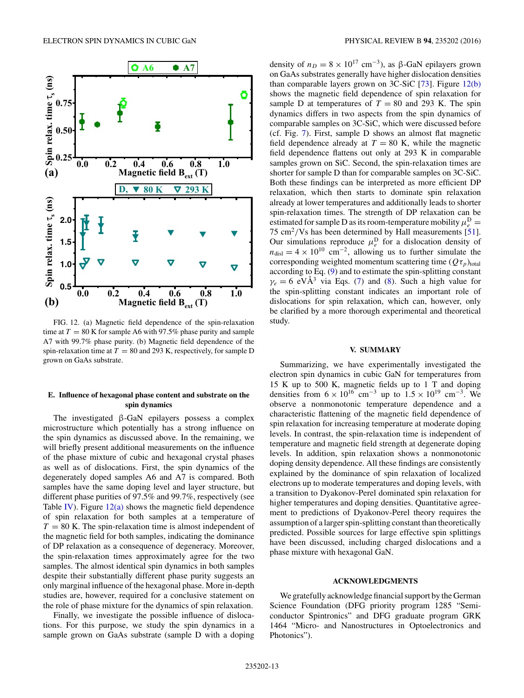

FIG. 12. (a) Magnetic field dependence of the spin-relaxation time at  $T = 80$  K for sample A6 with 97.5% phase purity and sample A7 with 99.7% phase purity. (b) Magnetic field dependence of the spin-relaxation time at  $T = 80$  and 293 K, respectively, for sample D grown on GaAs substrate.

## **E. Influence of hexagonal phase content and substrate on the spin dynamics**

The investigated β-GaN epilayers possess a complex microstructure which potentially has a strong influence on the spin dynamics as discussed above. In the remaining, we will briefly present additional measurements on the influence of the phase mixture of cubic and hexagonal crystal phases as well as of dislocations. First, the spin dynamics of the degenerately doped samples A6 and A7 is compared. Both samples have the same doping level and layer structure, but different phase purities of 97.5% and 99.7%, respectively (see Table [IV\)](#page-3-0). Figure  $12(a)$  shows the magnetic field dependence of spin relaxation for both samples at a temperature of  $T = 80$  K. The spin-relaxation time is almost independent of the magnetic field for both samples, indicating the dominance of DP relaxation as a consequence of degeneracy. Moreover, the spin-relaxation times approximately agree for the two samples. The almost identical spin dynamics in both samples despite their substantially different phase purity suggests an only marginal influence of the hexagonal phase. More in-depth studies are, however, required for a conclusive statement on the role of phase mixture for the dynamics of spin relaxation.

Finally, we investigate the possible influence of dislocations. For this purpose, we study the spin dynamics in a sample grown on GaAs substrate (sample D with a doping density of  $n_D = 8 \times 10^{17}$  cm<sup>-3</sup>), as β-GaN epilayers grown on GaAs substrates generally have higher dislocation densities than comparable layers grown on  $3C-SiC$  [\[73\]](#page-14-0). Figure 12(b) shows the magnetic field dependence of spin relaxation for sample D at temperatures of  $T = 80$  and 293 K. The spin dynamics differs in two aspects from the spin dynamics of comparable samples on 3C-SiC, which were discussed before (cf. Fig. [7\)](#page-8-0). First, sample D shows an almost flat magnetic field dependence already at  $T = 80$  K, while the magnetic field dependence flattens out only at 293 K in comparable samples grown on SiC. Second, the spin-relaxation times are shorter for sample D than for comparable samples on 3C-SiC. Both these findings can be interpreted as more efficient DP relaxation, which then starts to dominate spin relaxation already at lower temperatures and additionally leads to shorter spin-relaxation times. The strength of DP relaxation can be estimated for sample D as its room-temperature mobility  $\mu_e^D$  = 75 cm2*/*Vs has been determined by Hall measurements [\[51\]](#page-13-0). Our simulations reproduce  $\mu_e^D$  for a dislocation density of  $n_{\text{disl}} = 4 \times 10^{10} \text{ cm}^{-2}$ , allowing us to further simulate the corresponding weighted momentum scattering time  $(Q\tau_p)_{total}$ according to Eq. [\(9\)](#page-1-0) and to estimate the spin-splitting constant  $\gamma_e = 6$  eVÅ<sup>3</sup> via Eqs. [\(7\)](#page-1-0) and [\(8\)](#page-1-0). Such a high value for the spin-splitting constant indicates an important role of dislocations for spin relaxation, which can, however, only be clarified by a more thorough experimental and theoretical study.

#### **V. SUMMARY**

Summarizing, we have experimentally investigated the electron spin dynamics in cubic GaN for temperatures from 15 K up to 500 K, magnetic fields up to 1 T and doping densities from  $6 \times 10^{16}$  cm<sup>-3</sup> up to  $1.5 \times 10^{19}$  cm<sup>-3</sup>. We observe a nonmonotonic temperature dependence and a characteristic flattening of the magnetic field dependence of spin relaxation for increasing temperature at moderate doping levels. In contrast, the spin-relaxation time is independent of temperature and magnetic field strength at degenerate doping levels. In addition, spin relaxation shows a nonmonotonic doping density dependence. All these findings are consistently explained by the dominance of spin relaxation of localized electrons up to moderate temperatures and doping levels, with a transition to Dyakonov-Perel dominated spin relaxation for higher temperatures and doping densities. Quantitative agreement to predictions of Dyakonov-Perel theory requires the assumption of a larger spin-splitting constant than theoretically predicted. Possible sources for large effective spin splittings have been discussed, including charged dislocations and a phase mixture with hexagonal GaN.

#### **ACKNOWLEDGMENTS**

We gratefully acknowledge financial support by the German Science Foundation (DFG priority program 1285 "Semiconductor Spintronics" and DFG graduate program GRK 1464 "Micro- and Nanostructures in Optoelectronics and Photonics").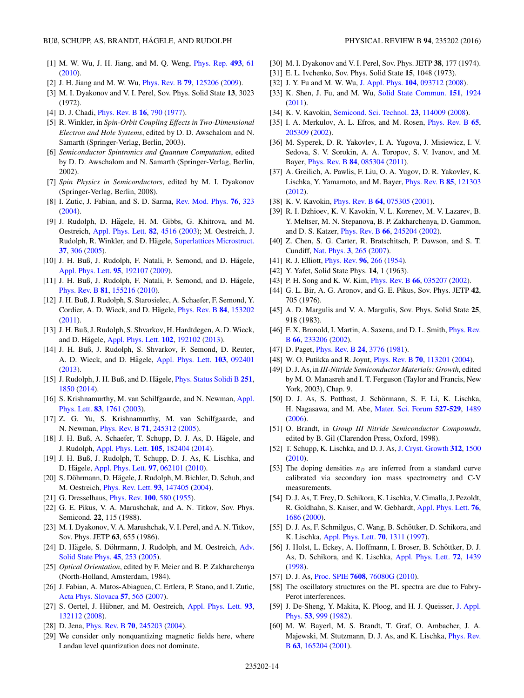- <span id="page-13-0"></span>[1] M. W. Wu, J. H. Jiang, and M. Q. Weng, [Phys. Rep.](https://doi.org/10.1016/j.physrep.2010.04.002) **[493](https://doi.org/10.1016/j.physrep.2010.04.002)**, [61](https://doi.org/10.1016/j.physrep.2010.04.002) [\(2010\)](https://doi.org/10.1016/j.physrep.2010.04.002).
- [2] J. H. Jiang and M. W. Wu, [Phys. Rev. B](https://doi.org/10.1103/PhysRevB.79.125206) **[79](https://doi.org/10.1103/PhysRevB.79.125206)**, [125206](https://doi.org/10.1103/PhysRevB.79.125206) [\(2009\)](https://doi.org/10.1103/PhysRevB.79.125206).
- [3] M. I. Dyakonov and V. I. Perel, Sov. Phys. Solid State **13**, 3023 (1972).
- [4] D. J. Chadi, [Phys. Rev. B](https://doi.org/10.1103/PhysRevB.16.790) **[16](https://doi.org/10.1103/PhysRevB.16.790)**, [790](https://doi.org/10.1103/PhysRevB.16.790) [\(1977\)](https://doi.org/10.1103/PhysRevB.16.790).
- [5] R. Winkler, in *Spin-Orbit Coupling Effects in Two-Dimensional Electron and Hole Systems*, edited by D. D. Awschalom and N. Samarth (Springer-Verlag, Berlin, 2003).
- [6] *Semiconductor Spintronics and Quantum Computation*, edited by D. D. Awschalom and N. Samarth (Springer-Verlag, Berlin, 2002).
- [7] *Spin Physics in Semiconductors*, edited by M. I. Dyakonov (Springer-Verlag, Berlin, 2008).
- [8] I. Zutic, J. Fabian, and S. D. Sarma, [Rev. Mod. Phys.](https://doi.org/10.1103/RevModPhys.76.323) **[76](https://doi.org/10.1103/RevModPhys.76.323)**, [323](https://doi.org/10.1103/RevModPhys.76.323) [\(2004\)](https://doi.org/10.1103/RevModPhys.76.323).
- [9] J. Rudolph, D. Hägele, H. M. Gibbs, G. Khitrova, and M. Oestreich, [Appl. Phys. Lett.](https://doi.org/10.1063/1.1583145) **[82](https://doi.org/10.1063/1.1583145)**, [4516](https://doi.org/10.1063/1.1583145) [\(2003\)](https://doi.org/10.1063/1.1583145); M. Oestreich, J. Rudolph, R. Winkler, and D. Hägele, [Superlattices Microstruct.](https://doi.org/10.1016/j.spmi.2004.12.007) **[37](https://doi.org/10.1016/j.spmi.2004.12.007)**, [306](https://doi.org/10.1016/j.spmi.2004.12.007) [\(2005\)](https://doi.org/10.1016/j.spmi.2004.12.007).
- [10] J. H. Buß, J. Rudolph, F. Natali, F. Semond, and D. Hägele, [Appl. Phys. Lett.](https://doi.org/10.1063/1.3261755) **[95](https://doi.org/10.1063/1.3261755)**, [192107](https://doi.org/10.1063/1.3261755) [\(2009\)](https://doi.org/10.1063/1.3261755).
- [11] J. H. Buß, J. Rudolph, F. Natali, F. Semond, and D. Hägele, [Phys. Rev. B](https://doi.org/10.1103/PhysRevB.81.155216) **[81](https://doi.org/10.1103/PhysRevB.81.155216)**, [155216](https://doi.org/10.1103/PhysRevB.81.155216) [\(2010\)](https://doi.org/10.1103/PhysRevB.81.155216).
- [12] J. H. Buß, J. Rudolph, S. Starosielec, A. Schaefer, F. Semond, Y. Cordier, A. D. Wieck, and D. Hagele, [Phys. Rev. B](https://doi.org/10.1103/PhysRevB.84.153202) [84](https://doi.org/10.1103/PhysRevB.84.153202), [153202](https://doi.org/10.1103/PhysRevB.84.153202) [\(2011\)](https://doi.org/10.1103/PhysRevB.84.153202).
- [13] J. H. Buß, J. Rudolph, S. Shvarkov, H. Hardtdegen, A. D. Wieck, and D. Hägele, [Appl. Phys. Lett.](https://doi.org/10.1063/1.4804558) **[102](https://doi.org/10.1063/1.4804558)**, [192102](https://doi.org/10.1063/1.4804558) [\(2013\)](https://doi.org/10.1063/1.4804558).
- [14] J. H. Buß, J. Rudolph, S. Shvarkov, F. Semond, D. Reuter, A. D. Wieck, and D. Hägele, [Appl. Phys. Lett.](https://doi.org/10.1063/1.4819767) **[103](https://doi.org/10.1063/1.4819767)**, [092401](https://doi.org/10.1063/1.4819767) [\(2013\)](https://doi.org/10.1063/1.4819767).
- [15] J. Rudolph, J. H. Buß, and D. Hägele, *[Phys. Status Solidi B](https://doi.org/10.1002/pssb.201350185)* [251](https://doi.org/10.1002/pssb.201350185), [1850](https://doi.org/10.1002/pssb.201350185) [\(2014\)](https://doi.org/10.1002/pssb.201350185).
- [16] [S. Krishnamurthy, M. van Schilfgaarde, and N. Newman,](https://doi.org/10.1063/1.1606873) Appl. Phys. Lett. **[83](https://doi.org/10.1063/1.1606873)**, [1761](https://doi.org/10.1063/1.1606873) [\(2003\)](https://doi.org/10.1063/1.1606873).
- [17] Z. G. Yu, S. Krishnamurthy, M. van Schilfgaarde, and N. Newman, [Phys. Rev. B](https://doi.org/10.1103/PhysRevB.71.245312) **[71](https://doi.org/10.1103/PhysRevB.71.245312)**, [245312](https://doi.org/10.1103/PhysRevB.71.245312) [\(2005\)](https://doi.org/10.1103/PhysRevB.71.245312).
- [18] J. H. Buß, A. Schaefer, T. Schupp, D. J. As, D. Hägele, and J. Rudolph, [Appl. Phys. Lett.](https://doi.org/10.1063/1.4901108) **[105](https://doi.org/10.1063/1.4901108)**, [182404](https://doi.org/10.1063/1.4901108) [\(2014\)](https://doi.org/10.1063/1.4901108).
- [19] J. H. Buß, J. Rudolph, T. Schupp, D. J. As, K. Lischka, and D. Hägele, [Appl. Phys. Lett.](https://doi.org/10.1063/1.3478838) **[97](https://doi.org/10.1063/1.3478838)**, [062101](https://doi.org/10.1063/1.3478838) [\(2010\)](https://doi.org/10.1063/1.3478838).
- [20] S. Döhrmann, D. Hägele, J. Rudolph, M. Bichler, D. Schuh, and M. Oestreich, [Phys. Rev. Lett.](https://doi.org/10.1103/PhysRevLett.93.147405) **[93](https://doi.org/10.1103/PhysRevLett.93.147405)**, [147405](https://doi.org/10.1103/PhysRevLett.93.147405) [\(2004\)](https://doi.org/10.1103/PhysRevLett.93.147405).
- [21] G. Dresselhaus, [Phys. Rev.](https://doi.org/10.1103/PhysRev.100.580) **[100](https://doi.org/10.1103/PhysRev.100.580)**, [580](https://doi.org/10.1103/PhysRev.100.580) [\(1955\)](https://doi.org/10.1103/PhysRev.100.580).
- [22] G. E. Pikus, V. A. Marushchak, and A. N. Titkov, Sov. Phys. Semicond. **22**, 115 (1988).
- [23] M. I. Dyakonov, V. A. Marushchak, V. I. Perel, and A. N. Titkov, Sov. Phys. JETP **63**, 655 (1986).
- [24] D. Hägele, S. Döhrmann, J. Rudolph, and M. Oestreich, Adv. Solid State Phys. **[45](https://doi.org/10.1007/11423256_20)**, [253](https://doi.org/10.1007/11423256_20) [\(2005\)](https://doi.org/10.1007/11423256_20).
- [25] *Optical Orientation*, edited by F. Meier and B. P. Zakharchenya (North-Holland, Amsterdam, 1984).
- [26] J. Fabian, A. Matos-Abiaguea, C. Ertlera, P. Stano, and I. Zutic, [Acta Phys. Slovaca](https://doi.org/10.2478/v10155-010-0086-8) **[57](https://doi.org/10.2478/v10155-010-0086-8)**, [565](https://doi.org/10.2478/v10155-010-0086-8) [\(2007\)](https://doi.org/10.2478/v10155-010-0086-8).
- [27] S. Oertel, J. Hübner, and M. Oestreich, [Appl. Phys. Lett.](https://doi.org/10.1063/1.2993344) [93](https://doi.org/10.1063/1.2993344), [132112](https://doi.org/10.1063/1.2993344) [\(2008\)](https://doi.org/10.1063/1.2993344).
- [28] D. Jena, [Phys. Rev. B](https://doi.org/10.1103/PhysRevB.70.245203) **[70](https://doi.org/10.1103/PhysRevB.70.245203)**, [245203](https://doi.org/10.1103/PhysRevB.70.245203) [\(2004\)](https://doi.org/10.1103/PhysRevB.70.245203).
- [29] We consider only nonquantizing magnetic fields here, where Landau level quantization does not dominate.
- 
- [30] M. I. Dyakonov and V. I. Perel, Sov. Phys. JETP **38**, 177 (1974).
- [31] E. L. Ivchenko, Sov. Phys. Solid State **15**, 1048 (1973).
- [32] J. Y. Fu and M. W. Wu, [J. Appl. Phys.](https://doi.org/10.1063/1.3018600) **[104](https://doi.org/10.1063/1.3018600)**, [093712](https://doi.org/10.1063/1.3018600) [\(2008\)](https://doi.org/10.1063/1.3018600).
- [33] K. Shen, J. Fu, and M. Wu, [Solid State Commun.](https://doi.org/10.1016/j.ssc.2011.09.019) **[151](https://doi.org/10.1016/j.ssc.2011.09.019)**, [1924](https://doi.org/10.1016/j.ssc.2011.09.019) [\(2011\)](https://doi.org/10.1016/j.ssc.2011.09.019).
- [34] K. V. Kavokin, [Semicond. Sci. Technol.](https://doi.org/10.1088/0268-1242/23/11/114009) **[23](https://doi.org/10.1088/0268-1242/23/11/114009)**, [114009](https://doi.org/10.1088/0268-1242/23/11/114009) [\(2008\)](https://doi.org/10.1088/0268-1242/23/11/114009).
- [35] I. A. Merkulov, A. L. Efros, and M. Rosen, [Phys. Rev. B](https://doi.org/10.1103/PhysRevB.65.205309) **[65](https://doi.org/10.1103/PhysRevB.65.205309)**, [205309](https://doi.org/10.1103/PhysRevB.65.205309) [\(2002\)](https://doi.org/10.1103/PhysRevB.65.205309).
- [36] M. Syperek, D. R. Yakovlev, I. A. Yugova, J. Misiewicz, I. V. Sedova, S. V. Sorokin, A. A. Toropov, S. V. Ivanov, and M. Bayer, [Phys. Rev. B](https://doi.org/10.1103/PhysRevB.84.085304) **[84](https://doi.org/10.1103/PhysRevB.84.085304)**, [085304](https://doi.org/10.1103/PhysRevB.84.085304) [\(2011\)](https://doi.org/10.1103/PhysRevB.84.085304).
- [37] A. Greilich, A. Pawlis, F. Liu, O. A. Yugov, D. R. Yakovlev, K. Lischka, Y. Yamamoto, and M. Bayer, [Phys. Rev. B](https://doi.org/10.1103/PhysRevB.85.121303) **[85](https://doi.org/10.1103/PhysRevB.85.121303)**, [121303](https://doi.org/10.1103/PhysRevB.85.121303) [\(2012\)](https://doi.org/10.1103/PhysRevB.85.121303).
- [38] K. V. Kavokin, [Phys. Rev. B](https://doi.org/10.1103/PhysRevB.64.075305) **[64](https://doi.org/10.1103/PhysRevB.64.075305)**, [075305](https://doi.org/10.1103/PhysRevB.64.075305) [\(2001\)](https://doi.org/10.1103/PhysRevB.64.075305).
- [39] R. I. Dzhioev, K. V. Kavokin, V. L. Korenev, M. V. Lazarev, B. Y. Meltser, M. N. Stepanova, B. P. Zakharchenya, D. Gammon, and D. S. Katzer, [Phys. Rev. B](https://doi.org/10.1103/PhysRevB.66.245204) **[66](https://doi.org/10.1103/PhysRevB.66.245204)**, [245204](https://doi.org/10.1103/PhysRevB.66.245204) [\(2002\)](https://doi.org/10.1103/PhysRevB.66.245204).
- [40] Z. Chen, S. G. Carter, R. Bratschitsch, P. Dawson, and S. T. Cundiff, [Nat. Phys.](https://doi.org/10.1038/nphys537) **[3](https://doi.org/10.1038/nphys537)**, [265](https://doi.org/10.1038/nphys537) [\(2007\)](https://doi.org/10.1038/nphys537).
- [41] R. J. Elliott, [Phys. Rev.](https://doi.org/10.1103/PhysRev.96.266) **[96](https://doi.org/10.1103/PhysRev.96.266)**, [266](https://doi.org/10.1103/PhysRev.96.266) [\(1954\)](https://doi.org/10.1103/PhysRev.96.266).
- [42] Y. Yafet, Solid State Phys. **14**, 1 (1963).
- [43] P. H. Song and K. W. Kim, [Phys. Rev. B](https://doi.org/10.1103/PhysRevB.66.035207) **[66](https://doi.org/10.1103/PhysRevB.66.035207)**, [035207](https://doi.org/10.1103/PhysRevB.66.035207) [\(2002\)](https://doi.org/10.1103/PhysRevB.66.035207).
- [44] G. L. Bir, A. G. Aronov, and G. E. Pikus, Sov. Phys. JETP **42**, 705 (1976).
- [45] A. D. Margulis and V. A. Margulis, Sov. Phys. Solid State **25**, 918 (1983).
- [46] [F. X. Bronold, I. Martin, A. Saxena, and D. L. Smith,](https://doi.org/10.1103/PhysRevB.66.233206) *Phys. Rev.* B **[66](https://doi.org/10.1103/PhysRevB.66.233206)**, [233206](https://doi.org/10.1103/PhysRevB.66.233206) [\(2002\)](https://doi.org/10.1103/PhysRevB.66.233206).
- [47] D. Paget, [Phys. Rev. B](https://doi.org/10.1103/PhysRevB.24.3776) **[24](https://doi.org/10.1103/PhysRevB.24.3776)**, [3776](https://doi.org/10.1103/PhysRevB.24.3776) [\(1981\)](https://doi.org/10.1103/PhysRevB.24.3776).
- [48] W. O. Putikka and R. Joynt, [Phys. Rev. B](https://doi.org/10.1103/PhysRevB.70.113201) **[70](https://doi.org/10.1103/PhysRevB.70.113201)**, [113201](https://doi.org/10.1103/PhysRevB.70.113201) [\(2004\)](https://doi.org/10.1103/PhysRevB.70.113201).
- [49] D. J. As, in *III-Nitride Semiconductor Materials: Growth*, edited by M. O. Manasreh and I. T. Ferguson (Taylor and Francis, New York, 2003), Chap. 9.
- [50] D. J. As, S. Potthast, J. Schörmann, S. F. Li, K. Lischka, H. Nagasawa, and M. Abe, [Mater. Sci. Forum](https://doi.org/10.4028/www.scientific.net/MSF.527-529.1489) **[527-529](https://doi.org/10.4028/www.scientific.net/MSF.527-529.1489)**, [1489](https://doi.org/10.4028/www.scientific.net/MSF.527-529.1489) [\(2006\)](https://doi.org/10.4028/www.scientific.net/MSF.527-529.1489).
- [51] O. Brandt, in *Group III Nitride Semiconductor Compounds*, edited by B. Gil (Clarendon Press, Oxford, 1998).
- [52] T. Schupp, K. Lischka, and D. J. As, [J. Cryst. Growth](https://doi.org/10.1016/j.jcrysgro.2010.01.040) **[312](https://doi.org/10.1016/j.jcrysgro.2010.01.040)**, [1500](https://doi.org/10.1016/j.jcrysgro.2010.01.040) [\(2010\)](https://doi.org/10.1016/j.jcrysgro.2010.01.040).
- [53] The doping densities  $n<sub>D</sub>$  are inferred from a standard curve calibrated via secondary ion mass spectrometry and C-V measurements.
- [54] D. J. As, T. Frey, D. Schikora, K. Lischka, V. Cimalla, J. Pezoldt, R. Goldhahn, S. Kaiser, and W. Gebhardt, [Appl. Phys. Lett.](https://doi.org/10.1063/1.126136) **[76](https://doi.org/10.1063/1.126136)**, [1686](https://doi.org/10.1063/1.126136) [\(2000\)](https://doi.org/10.1063/1.126136).
- [55] D. J. As, F. Schmilgus, C. Wang, B. Schöttker, D. Schikora, and K. Lischka, [Appl. Phys. Lett.](https://doi.org/10.1063/1.118521) **[70](https://doi.org/10.1063/1.118521)**, [1311](https://doi.org/10.1063/1.118521) [\(1997\)](https://doi.org/10.1063/1.118521).
- [56] J. Holst, L. Eckey, A. Hoffmann, I. Broser, B. Schöttker, D. J. As, D. Schikora, and K. Lischka, [Appl. Phys. Lett.](https://doi.org/10.1063/1.120588) **[72](https://doi.org/10.1063/1.120588)**, [1439](https://doi.org/10.1063/1.120588) [\(1998\)](https://doi.org/10.1063/1.120588).
- [57] D. J. As, [Proc. SPIE](https://doi.org/10.1117/12.846846) **[7608](https://doi.org/10.1117/12.846846)**, [76080G](https://doi.org/10.1117/12.846846) [\(2010\)](https://doi.org/10.1117/12.846846).
- [58] The oscillatory structures on the PL spectra are due to Fabry-Perot interferences.
- [59] [J. De-Sheng, Y. Makita, K. Ploog, and H. J. Queisser,](https://doi.org/10.1063/1.330581) J. Appl. Phys. **[53](https://doi.org/10.1063/1.330581)**, [999](https://doi.org/10.1063/1.330581) [\(1982\)](https://doi.org/10.1063/1.330581).
- [60] M. W. Bayerl, M. S. Brandt, T. Graf, O. Ambacher, J. A. [Majewski, M. Stutzmann, D. J. As, and K. Lischka,](https://doi.org/10.1103/PhysRevB.63.165204) Phys. Rev. B **[63](https://doi.org/10.1103/PhysRevB.63.165204)**, [165204](https://doi.org/10.1103/PhysRevB.63.165204) [\(2001\)](https://doi.org/10.1103/PhysRevB.63.165204).